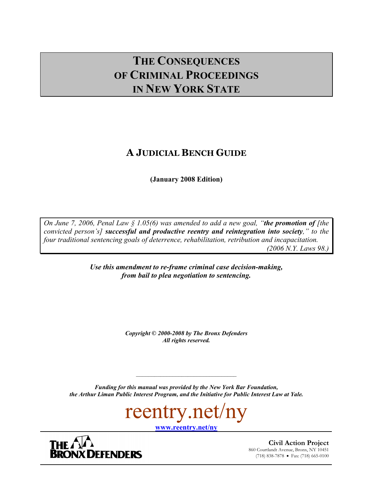# **THE CONSEQUENCES OF CRIMINAL PROCEEDINGS IN NEW YORK STATE**

# **A JUDICIAL BENCH GUIDE**

**(January 2008 Edition)** 

*On June 7, 2006, Penal Law § 1.05(6) was amended to add a new goal, "the promotion of [the convicted person's] successful and productive reentry and reintegration into society," to the four traditional sentencing goals of deterrence, rehabilitation, retribution and incapacitation. (2006 N.Y. Laws 98.)* 

> *Use this amendment to re-frame criminal case decision-making, from bail to plea negotiation to sentencing.*

> > *Copyright* **©** *2000-2008 by The Bronx Defenders All rights reserved.*

*Funding for this manual was provided by the New York Bar Foundation, the Arthur Liman Public Interest Program, and the Initiative for Public Interest Law at Yale.* 

 $\mathcal{L}_\text{max}$ 

reentry.net/ny

**www.reentry.net/ny**

THE  $\bigcap$ 

**BRONX DEFENDERS** 

**Civil Action Project** 860 Courtlandt Avenue, Bronx, NY 10451 (718) 838-7878 • Fax: (718) 665-0100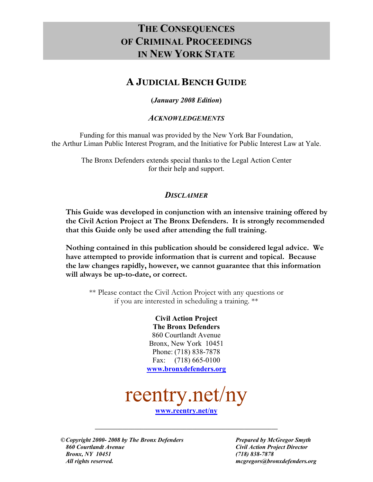# **THE CONSEQUENCES OF CRIMINAL PROCEEDINGS IN NEW YORK STATE**

# **A JUDICIAL BENCH GUIDE**

# **(***January 2008 Edition***)**

# *ACKNOWLEDGEMENTS*

Funding for this manual was provided by the New York Bar Foundation, the Arthur Liman Public Interest Program, and the Initiative for Public Interest Law at Yale.

> The Bronx Defenders extends special thanks to the Legal Action Center for their help and support.

# *DISCLAIMER*

**This Guide was developed in conjunction with an intensive training offered by the Civil Action Project at The Bronx Defenders. It is strongly recommended that this Guide only be used after attending the full training.** 

**Nothing contained in this publication should be considered legal advice. We have attempted to provide information that is current and topical. Because the law changes rapidly, however, we cannot guarantee that this information will always be up-to-date, or correct.** 

\*\* Please contact the Civil Action Project with any questions or if you are interested in scheduling a training. \*\*

> **Civil Action Project The Bronx Defenders** 860 Courtlandt Avenue Bronx, New York 10451 Phone: (718) 838-7878 Fax: (718) 665-0100 **www.bronxdefenders.org**



**www.reentry.net/ny**

**\_\_\_\_\_\_\_\_\_\_\_\_\_\_\_\_\_\_\_\_\_\_\_\_\_\_\_\_\_\_\_\_\_\_\_\_\_\_\_\_\_\_\_\_\_\_\_\_\_\_\_\_\_\_\_\_\_\_\_\_** 

 **©** *Copyright 2000- 2008 by The Bronx Defenders Prepared by McGregor Smyth 860 Courtlandt Avenue Civil Action Project Director Bronx, NY 10451 (718) 838-7878 All rights reserved. mcgregors@bronxdefenders.org*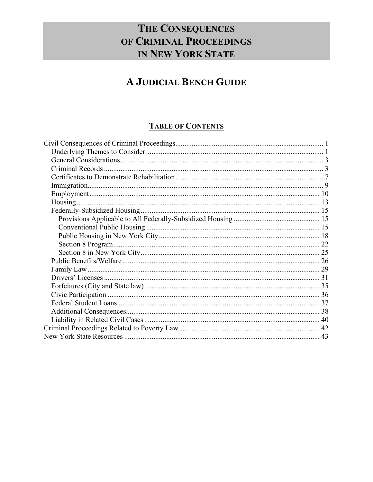# THE CONSEQUENCES OF CRIMINAL PROCEEDINGS IN NEW YORK STATE

# A JUDICIAL BENCH GUIDE

# **TABLE OF CONTENTS**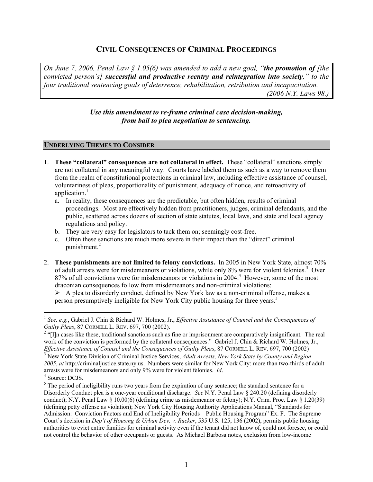# **CIVIL CONSEQUENCES OF CRIMINAL PROCEEDINGS**

*On June 7, 2006, Penal Law § 1.05(6) was amended to add a new goal, "the promotion of [the convicted person's] successful and productive reentry and reintegration into society," to the four traditional sentencing goals of deterrence, rehabilitation, retribution and incapacitation. (2006 N.Y. Laws 98.)* 

#### *Use this amendment to re-frame criminal case decision-making, from bail to plea negotiation to sentencing.*

#### **UNDERLYING THEMES TO CONSIDER**

- 1. **These "collateral" consequences are not collateral in effect.** These "collateral" sanctions simply are not collateral in any meaningful way. Courts have labeled them as such as a way to remove them from the realm of constitutional protections in criminal law, including effective assistance of counsel, voluntariness of pleas, proportionality of punishment, adequacy of notice, and retroactivity of application.<sup>1</sup>
	- a. In reality, these consequences are the predictable, but often hidden, results of criminal proceedings. Most are effectively hidden from practitioners, judges, criminal defendants, and the public, scattered across dozens of section of state statutes, local laws, and state and local agency regulations and policy.
	- b. They are very easy for legislators to tack them on; seemingly cost-free.
	- c. Often these sanctions are much more severe in their impact than the "direct" criminal punishment.<sup>2</sup>
- 2. **These punishments are not limited to felony convictions.** In 2005 in New York State, almost 70% of adult arrests were for misdemeanors or violations, while only 8% were for violent felonies.<sup>3</sup> Over 87% of all convictions were for misdemeanors or violations in 2004.<sup>4</sup> However, some of the most draconian consequences follow from misdemeanors and non-criminal violations:

 $\triangleright$  A plea to disorderly conduct, defined by New York law as a non-criminal offense, makes a person presumptively ineligible for New York City public housing for three years.<sup>5</sup>

 $\overline{a}$ 

<sup>1</sup> *See, e.g.*, Gabriel J. Chin & Richard W. Holmes, Jr., *Effective Assistance of Counsel and the Consequences of Guilty Pleas*, 87 CORNELL L. REV. 697, 700 (2002).

 $2$  "[I]n cases like these, traditional sanctions such as fine or imprisonment are comparatively insignificant. The real work of the conviction is performed by the collateral consequences." Gabriel J. Chin & Richard W. Holmes, Jr., *Effective Assistance of Counsel and the Consequences of Guilty Pleas*, 87 CORNELL L. REV. 697, 700 (2002)

<sup>&</sup>lt;sup>3</sup> New York State Division of Criminal Justice Services, *Adult Arrests, New York State by County and Region -2005*, *at* http://criminaljustice.state.ny.us. Numbers were similar for New York City: more than two-thirds of adult arrests were for misdemeanors and only 9% were for violent felonies. *Id*. 4

<sup>&</sup>lt;sup>4</sup> Source: DCJS.

 $<sup>5</sup>$  The period of ineligibility runs two years from the expiration of any sentence; the standard sentence for a</sup> Disorderly Conduct plea is a one-year conditional discharge. *See* N.Y. Penal Law § 240.20 (defining disorderly conduct); N.Y. Penal Law § 10.00(6) (defining crime as misdemeanor or felony); N.Y. Crim. Proc. Law § 1.20(39) (defining petty offense as violation); New York City Housing Authority Applications Manual, "Standards for Admission: Conviction Factors and End of Ineligibility Periods—Public Housing Program" Ex. F. The Supreme Court's decision in *Dep't of Housing & Urban Dev. v. Rucker*, 535 U.S. 125, 136 (2002), permits public housing authorities to evict entire families for criminal activity even if the tenant did not know of, could not foresee, or could not control the behavior of other occupants or guests. As Michael Barbosa notes, exclusion from low-income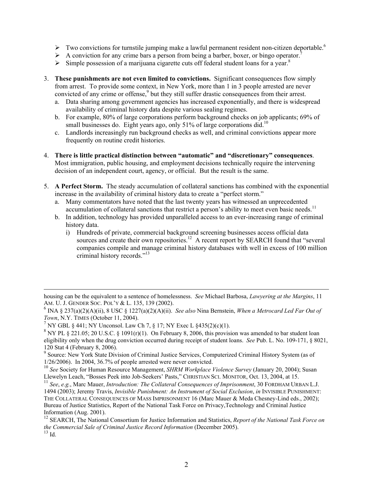- $\triangleright$  Two convictions for turnstile jumping make a lawful permanent resident non-citizen deportable.<sup>6</sup>
- $\triangleright$  A conviction for any crime bars a person from being a barber, boxer, or bingo operator.<sup>7</sup>
- $\triangleright$  Simple possession of a marijuana cigarette cuts off federal student loans for a year.<sup>8</sup>
- 3. **These punishments are not even limited to convictions.** Significant consequences flow simply from arrest. To provide some context, in New York, more than 1 in 3 people arrested are never convicted of any crime or offense,<sup>9</sup> but they still suffer drastic consequences from their arrest.
	- a. Data sharing among government agencies has increased exponentially, and there is widespread availability of criminal history data despite various sealing regimes.
	- b. For example, 80% of large corporations perform background checks on job applicants; 69% of small businesses do. Eight years ago, only 51% of large corporations did.<sup>10</sup>
	- c. Landlords increasingly run background checks as well, and criminal convictions appear more frequently on routine credit histories.
- 4. **There is little practical distinction between "automatic" and "discretionary" consequences**. Most immigration, public housing, and employment decisions technically require the intervening decision of an independent court, agency, or official. But the result is the same.
- 5. **A Perfect Storm.** The steady accumulation of collateral sanctions has combined with the exponential increase in the availability of criminal history data to create a "perfect storm."
	- a. Many commentators have noted that the last twenty years has witnessed an unprecedented accumulation of collateral sanctions that restrict a person's ability to meet even basic needs.<sup>11</sup>
	- b. In addition, technology has provided unparalleled access to an ever-increasing range of criminal history data.
		- i) Hundreds of private, commercial background screening businesses access official data sources and create their own repositories.<sup>12</sup> A recent report by SEARCH found that "several" companies compile and manage criminal history databases with well in excess of 100 million criminal history records."13

housing can be the equivalent to a sentence of homelessness. *See* Michael Barbosa, *Lawyering at the Margins*, 11 AM. U. J. GENDER SOC. POL'Y & L. 135, 139 (2002).

<sup>6</sup> INA § 237(a)(2)(A)(ii), 8 USC § 1227(a)(2)(A)(ii). *See also* Nina Bernstein, *When a Metrocard Led Far Out of* 

*Town*, N.Y. TIMES (October 11, 2004).<br><sup>7</sup> NY GBL § 441; NY Unconsol. Law Ch 7, § 17; NY Exec L §435(2)(c)(1).

<sup>&</sup>lt;sup>8</sup> NY PL § 221.05; 20 U.S.C. § 1091(r)(1). On February 8, 2006, this provision was amended to bar student loan eligibility only when the drug conviction occurred during receipt of student loans. *See* Pub. L. No. 109-171, § 8021, 120 Stat 4 (February 8, 2006).

<sup>&</sup>lt;sup>9</sup> Source: New York State Division of Criminal Justice Services, Computerized Criminal History System (as of 1/26/2006). In 2004, 36.7% of people arrested were never convicted.

<sup>&</sup>lt;sup>10</sup> See Society for Human Resource Management, SHRM Workplace Violence Survey (January 20, 2004); Susan Llewelyn Leach, "Bosses Peek into Job-Seekers' Pasts," CHRISTIAN SCI. MONITOR, Oct. 13, 2004, at 15.

<sup>&</sup>lt;sup>11</sup> *See*, *e.g.*, Marc Mauer, *Introduction: The Collateral Consequences of Imprisonment*, 30 FORDHAM URBAN L.J.

<sup>1494 (2003);</sup> Jeremy Travis, *Invisible Punishment: An Instrument of Social Exclusion*, *in* INVISIBLE PUNISHMENT: THE COLLATERAL CONSEQUENCES OF MASS IMPRISONMENT 16 (Marc Mauer & Meda Chesney-Lind eds., 2002); Bureau of Justice Statistics, Report of the National Task Force on Privacy,Technology and Criminal Justice Information (Aug. 2001).

<sup>12</sup> SEARCH, The National Consortium for Justice Information and Statistics, *Report of the National Task Force on the Commercial Sale of Criminal Justice Record Information* (December 2005).  $^{13}$  Id.  $\,$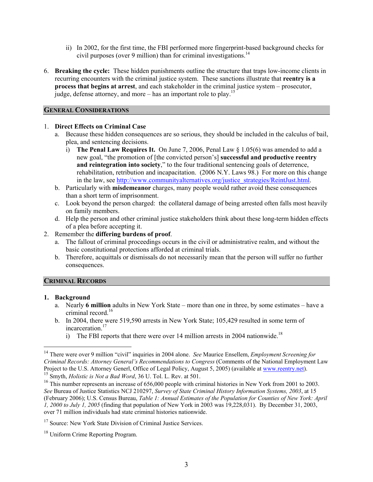- ii) In 2002, for the first time, the FBI performed more fingerprint-based background checks for civil purposes (over 9 million) than for criminal investigations.<sup>14</sup>
- 6. **Breaking the cycle:** These hidden punishments outline the structure that traps low-income clients in recurring encounters with the criminal justice system. These sanctions illustrate that **reentry is a process that begins at arrest**, and each stakeholder in the criminal justice system – prosecutor, judge, defense attorney, and more – has an important role to play.<sup>15</sup>

#### **GENERAL CONSIDERATIONS**

#### 1. **Direct Effects on Criminal Case**

- a. Because these hidden consequences are so serious, they should be included in the calculus of bail, plea, and sentencing decisions.
	- i) **The Penal Law Requires It.** On June 7, 2006, Penal Law § 1.05(6) was amended to add a new goal, "the promotion of [the convicted person's] **successful and productive reentry and reintegration into society**," to the four traditional sentencing goals of deterrence, rehabilitation, retribution and incapacitation. (2006 N.Y. Laws 98.) For more on this change in the law, see http://www.communityalternatives.org/justice\_strategies/ReintJust.html.
- b. Particularly with **misdemeanor** charges, many people would rather avoid these consequences than a short term of imprisonment.
- c. Look beyond the person charged: the collateral damage of being arrested often falls most heavily on family members.
- d. Help the person and other criminal justice stakeholders think about these long-term hidden effects of a plea before accepting it.
- 2. Remember the **differing burdens of proof**.
	- a. The fallout of criminal proceedings occurs in the civil or administrative realm, and without the basic constitutional protections afforded at criminal trials.
	- b. Therefore, acquittals or dismissals do not necessarily mean that the person will suffer no further consequences.

#### **CRIMINAL RECORDS**

#### **1. Background**

 $\overline{a}$ 

- a. Nearly **6 million** adults in New York State more than one in three, by some estimates have a criminal record.<sup>16</sup>
- b. In 2004, there were 519,590 arrests in New York State; 105,429 resulted in some term of incarceration.<sup>17</sup>
	- i) The FBI reports that there were over 14 million arrests in 2004 nationwide.<sup>18</sup>

#### <sup>17</sup> Source: New York State Division of Criminal Justice Services.

<sup>14</sup> There were over 9 million "civil" inquiries in 2004 alone. *See* Maurice Ensellem, *Employment Screening for Criminal Records: Attorney General's Recommendations to Congress* (Comments of the National Employment Law Project to the U.S. Attorney Generl, Office of Legal Policy, August 5, 2005) (available at www.reentry.net). 15 Smyth, *Holistic is Not a Bad Word*, 36 U. Tol. L. Rev. at 501.

<sup>&</sup>lt;sup>16</sup> This number represents an increase of 656,000 people with criminal histories in New York from 2001 to 2003. *See* Bureau of Justice Statistics NCJ 210297, *Survey of State Criminal History Information Systems, 2003*, at 15 (February 2006); U.S. Census Bureau, *Table 1: Annual Estimates of the Population for Counties of New York: April 1, 2000 to July 1, 2005* (finding that population of New York in 2003 was 19,228,031). By December 31, 2003, over 71 million individuals had state criminal histories nationwide.

<sup>&</sup>lt;sup>18</sup> Uniform Crime Reporting Program.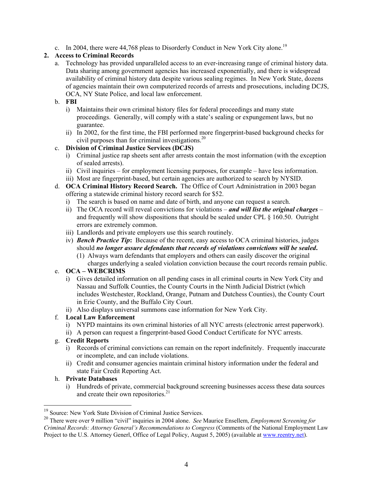c. In 2004, there were 44,768 pleas to Disorderly Conduct in New York City alone.<sup>19</sup>

## **2. Access to Criminal Records**

a. Technology has provided unparalleled access to an ever-increasing range of criminal history data. Data sharing among government agencies has increased exponentially, and there is widespread availability of criminal history data despite various sealing regimes. In New York State, dozens of agencies maintain their own computerized records of arrests and prosecutions, including DCJS, OCA, NY State Police, and local law enforcement.

#### b. **FBI**

- i) Maintains their own criminal history files for federal proceedings and many state proceedings. Generally, will comply with a state's sealing or expungement laws, but no guarantee.
- ii) In 2002, for the first time, the FBI performed more fingerprint-based background checks for civil purposes than for criminal investigations. $^{20}$

# c. **Division of Criminal Justice Services (DCJS)**

- i) Criminal justice rap sheets sent after arrests contain the most information (with the exception of sealed arrests).
- ii) Civil inquiries for employment licensing purposes, for example have less information.

iii) Most are fingerprint-based, but certain agencies are authorized to search by NYSID.

- d. **OCA Criminal History Record Search.** The Office of Court Administration in 2003 began offering a statewide criminal history record search for \$52.
	- i) The search is based on name and date of birth, and anyone can request a search.
	- ii) The OCA record will reveal convictions for violations *and will list the original charges* and frequently will show dispositions that should be sealed under CPL § 160.50. Outright errors are extremely common.
	- iii) Landlords and private employers use this search routinely.
	- iv) *Bench Practice Tip***:** Because of the recent, easy access to OCA criminal histories, judges should *no longer assure defendants that records of violations convictions will be sealed***.**
		- (1) Always warn defendants that employers and others can easily discover the original charges underlying a sealed violation conviction because the court records remain public.

# e. **OCA – WEBCRIMS**

- i) Gives detailed information on all pending cases in all criminal courts in New York City and Nassau and Suffolk Counties, the County Courts in the Ninth Judicial District (which includes Westchester, Rockland, Orange, Putnam and Dutchess Counties), the County Court in Erie County, and the Buffalo City Court.
- ii) Also displays universal summons case information for New York City.

#### f. **Local Law Enforcement**

- i) NYPD maintains its own criminal histories of all NYC arrests (electronic arrest paperwork).
- ii) A person can request a fingerprint-based Good Conduct Certificate for NYC arrests.

#### g. **Credit Reports**

- i) Records of criminal convictions can remain on the report indefinitely. Frequently inaccurate or incomplete, and can include violations.
- ii) Credit and consumer agencies maintain criminal history information under the federal and state Fair Credit Reporting Act.

#### h. **Private Databases**

 $\overline{a}$ 

i) Hundreds of private, commercial background screening businesses access these data sources and create their own repositories.<sup>21</sup>

<sup>&</sup>lt;sup>19</sup> Source: New York State Division of Criminal Justice Services.

<sup>20</sup> There were over 9 million "civil" inquiries in 2004 alone. *See* Maurice Ensellem, *Employment Screening for Criminal Records: Attorney General's Recommendations to Congress* (Comments of the National Employment Law Project to the U.S. Attorney Generl, Office of Legal Policy, August 5, 2005) (available at www.reentry.net).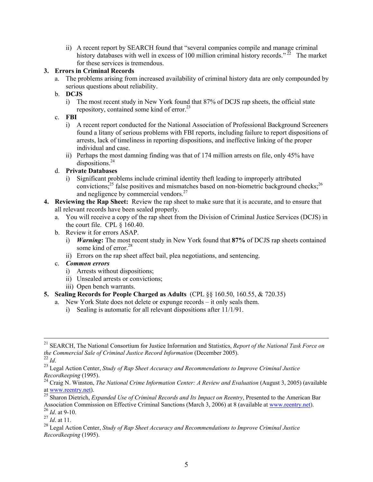ii) A recent report by SEARCH found that "several companies compile and manage criminal history databases with well in excess of 100 million criminal history records."  $^{22}$  The market for these services is tremendous.

#### **3. Errors in Criminal Records**

- a. The problems arising from increased availability of criminal history data are only compounded by serious questions about reliability.
- b. **DCJS** 
	- i) The most recent study in New York found that 87% of DCJS rap sheets, the official state repository, contained some kind of error.<sup>23</sup>
- c. **FBI**
	- i) A recent report conducted for the National Association of Professional Background Screeners found a litany of serious problems with FBI reports, including failure to report dispositions of arrests, lack of timeliness in reporting dispositions, and ineffective linking of the proper individual and case.
	- ii) Perhaps the most damning finding was that of 174 million arrests on file, only 45% have dispositions.<sup>24</sup>

#### d. **Private Databases**

- i) Significant problems include criminal identity theft leading to improperly attributed convictions;<sup>25</sup> false positives and mismatches based on non-biometric background checks;<sup>26</sup> and negligence by commercial vendors.<sup>27</sup>
- **4. Reviewing the Rap Sheet:** Review the rap sheet to make sure that it is accurate, and to ensure that all relevant records have been sealed properly.
	- a. You will receive a copy of the rap sheet from the Division of Criminal Justice Services (DCJS) in the court file. CPL § 160.40.
	- b. Review it for errors ASAP.
		- i) *Warning***:** The most recent study in New York found that **87%** of DCJS rap sheets contained some kind of error.<sup>28</sup>
		- ii) Errors on the rap sheet affect bail, plea negotiations, and sentencing.
	- c. *Common errors*
		- i) Arrests without dispositions;
		- ii) Unsealed arrests or convictions;
		- iii) Open bench warrants.
- **5. Sealing Records for People Charged as Adults** (CPL §§ 160.50, 160.55, & 720.35)
	- a. New York State does not delete or expunge records it only seals them.
		- i) Sealing is automatic for all relevant dispositions after 11/1/91.

 <sup>21</sup> SEARCH, The National Consortium for Justice Information and Statistics, *Report of the National Task Force on the Commercial Sale of Criminal Justice Record Information* (December 2005).

<sup>&</sup>lt;sup>23</sup> Legal Action Center, *Study of Rap Sheet Accuracy and Recommendations to Improve Criminal Justice Recordkeeping* (1995).

<sup>&</sup>lt;sup>24</sup> Craig N. Winston, *The National Crime Information Center: A Review and Evaluation* (August 3, 2005) (available at www.reentry.net).

<sup>25</sup> Sharon Dietrich, *Expanded Use of Criminal Records and Its Impact on Reentry*, Presented to the American Bar Association Commission on Effective Criminal Sanctions (March 3, 2006) at 8 (available at www.reentry.net). <sup>26</sup> *Id*. at 9-10.

<sup>27</sup> *Id*. at 11.

<sup>28</sup> Legal Action Center, *Study of Rap Sheet Accuracy and Recommendations to Improve Criminal Justice Recordkeeping* (1995).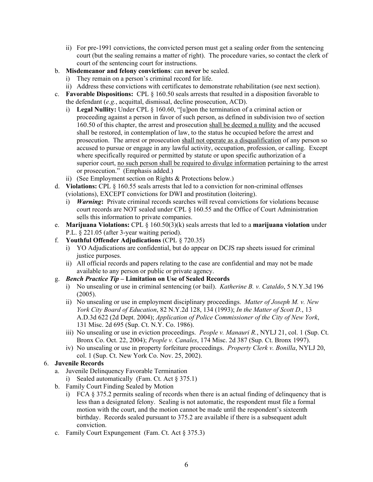- ii) For pre-1991 convictions, the convicted person must get a sealing order from the sentencing court (but the sealing remains a matter of right). The procedure varies, so contact the clerk of court of the sentencing court for instructions.
- b. **Misdemeanor and felony convictions**: can **never** be sealed.
	- i) They remain on a person's criminal record for life.
	- ii) Address these convictions with certificates to demonstrate rehabilitation (see next section).
- c. **Favorable Dispositions:** CPL § 160.50 seals arrests that resulted in a disposition favorable to the defendant (*e.g.*, acquittal, dismissal, decline prosecution, ACD).
	- i) **Legal Nullity:** Under CPL § 160.60, "[u]pon the termination of a criminal action or proceeding against a person in favor of such person, as defined in subdivision two of section 160.50 of this chapter, the arrest and prosecution shall be deemed a nullity and the accused shall be restored, in contemplation of law, to the status he occupied before the arrest and prosecution. The arrest or prosecution shall not operate as a disqualification of any person so accused to pursue or engage in any lawful activity, occupation, profession, or calling. Except where specifically required or permitted by statute or upon specific authorization of a superior court, no such person shall be required to divulge information pertaining to the arrest or prosecution." (Emphasis added.)
	- ii) (See Employment section on Rights & Protections below.)
- d. **Violations:** CPL § 160.55 seals arrests that led to a conviction for non-criminal offenses (violations), EXCEPT convictions for DWI and prostitution (loitering).
	- i) *Warning***:** Private criminal records searches will reveal convictions for violations because court records are NOT sealed under CPL § 160.55 and the Office of Court Administration sells this information to private companies.
- e. **Marijuana Violations:** CPL § 160.50(3)(k) seals arrests that led to a **marijuana violation** under P.L. § 221.05 (after 3-year waiting period).
- f. **Youthful Offender Adjudications** (CPL § 720.35)
	- i) YO Adjudications are confidential, but do appear on DCJS rap sheets issued for criminal justice purposes.
	- ii) All official records and papers relating to the case are confidential and may not be made available to any person or public or private agency.

# g. *Bench Practice Tip* **– Limitation on Use of Sealed Records**

- i) No unsealing or use in criminal sentencing (or bail). *Katherine B. v. Cataldo*, 5 N.Y.3d 196 (2005).
- ii) No unsealing or use in employment disciplinary proceedings. *Matter of Joseph M. v. New York City Board of Education*, 82 N.Y.2d 128, 134 (1993); *In the Matter of Scott D.*, 13 A.D.3d 622 (2d Dept. 2004); *Application of Police Commissioner of the City of New York*, 131 Misc. 2d 695 (Sup. Ct. N.Y. Co. 1986).
- iii) No unsealing or use in eviction proceedings. *People v. Manauri R.*, NYLJ 21, col. 1 (Sup. Ct. Bronx Co. Oct. 22, 2004); *People v. Canales*, 174 Misc. 2d 387 (Sup. Ct. Bronx 1997).
- iv) No unsealing or use in property forfeiture proceedings. *Property Clerk v. Bonilla*, NYLJ 20, col. 1 (Sup. Ct. New York Co. Nov. 25, 2002).

# 6. **Juvenile Records**

- a. Juvenile Delinquency Favorable Termination
	- i) Sealed automatically (Fam. Ct. Act § 375.1)
- b. Family Court Finding Sealed by Motion
	- i) FCA § 375.2 permits sealing of records when there is an actual finding of delinquency that is less than a designated felony. Sealing is not automatic, the respondent must file a formal motion with the court, and the motion cannot be made until the respondent's sixteenth birthday. Records sealed pursuant to 375.2 are available if there is a subsequent adult conviction.
- c. Family Court Expungement (Fam. Ct. Act § 375.3)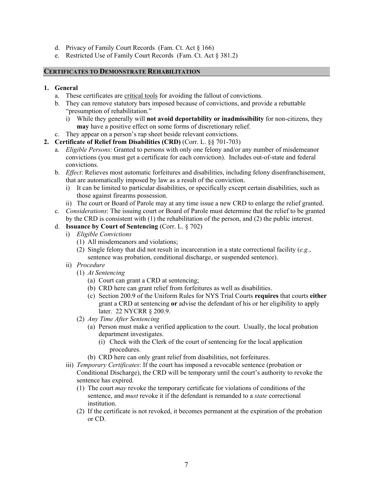- d. Privacy of Family Court Records (Fam. Ct. Act § 166)
- e. Restricted Use of Family Court Records (Fam. Ct. Act § 381.2)

#### **CERTIFICATES TO DEMONSTRATE REHABILITATION**

#### **1. General**

- a. These certificates are critical tools for avoiding the fallout of convictions.
- b. They can remove statutory bars imposed because of convictions, and provide a rebuttable "presumption of rehabilitation."
	- i) While they generally will **not avoid deportability or inadmissibility** for non-citizens, they **may** have a positive effect on some forms of discretionary relief.
- c. They appear on a person's rap sheet beside relevant convictions.
- **2. Certificate of Relief from Disabilities (CRD)** (Corr. L. §§ 701-703)
	- a. *Eligible Persons*: Granted to persons with only one felony and/or any number of misdemeanor convictions (you must get a certificate for each conviction). Includes out-of-state and federal convictions.
	- b. *Effect*: Relieves most automatic forfeitures and disabilities, including felony disenfranchisement, that are automatically imposed by law as a result of the conviction.
		- i) It can be limited to particular disabilities, or specifically except certain disabilities, such as those against firearms possession.
		- ii) The court or Board of Parole may at any time issue a new CRD to enlarge the relief granted.
	- c. *Considerations*: The issuing court or Board of Parole must determine that the relief to be granted by the CRD is consistent with (1) the rehabilitation of the person, and (2) the public interest.

#### d. **Issuance by Court of Sentencing** (Corr. L. § 702)

- i) *Eligible Convictions*
	- (1) All misdemeanors and violations;
	- (2) Single felony that did not result in incarceration in a state correctional facility (*e.g.*, sentence was probation, conditional discharge, or suspended sentence).
- ii) *Procedure*
	- (1) *At Sentencing*
		- (a) Court can grant a CRD at sentencing;
		- (b) CRD here can grant relief from forfeitures as well as disabilities.
		- (c) Section 200.9 of the Uniform Rules for NYS Trial Courts **requires** that courts **either** grant a CRD at sentencing **or** advise the defendant of his or her eligibility to apply later. 22 NYCRR § 200.9.
	- (2) *Any Time After Sentencing*
		- (a) Person must make a verified application to the court. Usually, the local probation department investigates.
			- (i) Check with the Clerk of the court of sentencing for the local application procedures.
		- (b) CRD here can only grant relief from disabilities, not forfeitures.
- iii) *Temporary Certificates*: If the court has imposed a revocable sentence (probation or Conditional Discharge), the CRD will be temporary until the court's authority to revoke the sentence has expired.
	- (1) The court *may* revoke the temporary certificate for violations of conditions of the sentence, and *must* revoke it if the defendant is remanded to a *state* correctional institution.
	- (2) If the certificate is not revoked, it becomes permanent at the expiration of the probation or CD.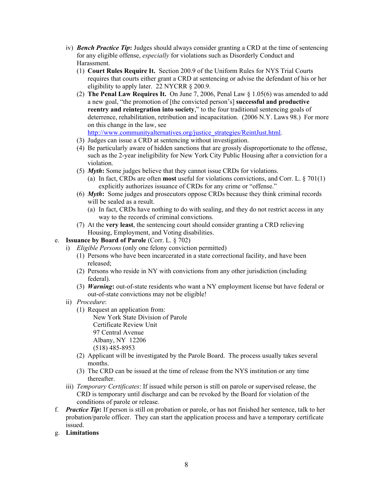- iv) *Bench Practice Tip***:** Judges should always consider granting a CRD at the time of sentencing for any eligible offense, *especially* for violations such as Disorderly Conduct and Harassment.
	- (1) **Court Rules Require It.** Section 200.9 of the Uniform Rules for NYS Trial Courts requires that courts either grant a CRD at sentencing or advise the defendant of his or her eligibility to apply later. 22 NYCRR § 200.9.
	- (2) **The Penal Law Requires It.** On June 7, 2006, Penal Law § 1.05(6) was amended to add a new goal, "the promotion of [the convicted person's] **successful and productive reentry and reintegration into society**," to the four traditional sentencing goals of deterrence, rehabilitation, retribution and incapacitation. (2006 N.Y. Laws 98.) For more on this change in the law, see http://www.communityalternatives.org/justice\_strategies/ReintJust.html.
	- (3) Judges can issue a CRD at sentencing without investigation.
	- (4) Be particularly aware of hidden sanctions that are grossly disproportionate to the offense, such as the 2-year ineligibility for New York City Public Housing after a conviction for a violation.
	- (5) *Myth***:** Some judges believe that they cannot issue CRDs for violations.
		- (a) In fact, CRDs are often **most** useful for violations convictions, and Corr. L. § 701(1) explicitly authorizes issuance of CRDs for any crime or "offense."
	- (6) *Myth***:** Some judges and prosecutors oppose CRDs because they think criminal records will be sealed as a result.
		- (a) In fact, CRDs have nothing to do with sealing, and they do not restrict access in any way to the records of criminal convictions.
	- (7) At the **very least**, the sentencing court should consider granting a CRD relieving Housing, Employment, and Voting disabilities.
- e. **Issuance by Board of Parole** (Corr. L. § 702)
	- i) *Eligible Persons* (only one felony conviction permitted)
		- (1) Persons who have been incarcerated in a state correctional facility, and have been released;
		- (2) Persons who reside in NY with convictions from any other jurisdiction (including federal).
		- (3) *Warning***:** out-of-state residents who want a NY employment license but have federal or out-of-state convictions may not be eligible!
	- ii) *Procedure*:
		- (1) Request an application from:

New York State Division of Parole

Certificate Review Unit 97 Central Avenue

Albany, NY 12206

(518) 485-8953

- (2) Applicant will be investigated by the Parole Board. The process usually takes several months.
- (3) The CRD can be issued at the time of release from the NYS institution or any time thereafter.
- iii) *Temporary Certificates*: If issued while person is still on parole or supervised release, the CRD is temporary until discharge and can be revoked by the Board for violation of the conditions of parole or release.
- f. *Practice Tip***:** If person is still on probation or parole, or has not finished her sentence, talk to her probation/parole officer. They can start the application process and have a temporary certificate issued.
- g. **Limitations**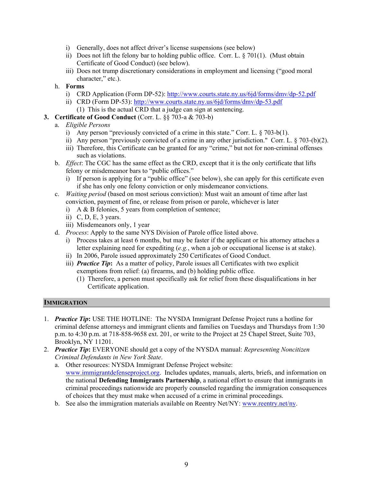- i) Generally, does not affect driver's license suspensions (see below)
- ii) Does not lift the felony bar to holding public office. Corr. L. § 701(1). (Must obtain Certificate of Good Conduct) (see below).
- iii) Does not trump discretionary considerations in employment and licensing ("good moral character," etc.).
- h. **Forms**
	- i) CRD Application (Form DP-52): http://www.courts.state.ny.us/6jd/forms/dmv/dp-52.pdf
	- ii) CRD (Form DP-53): http://www.courts.state.ny.us/6jd/forms/dmv/dp-53.pdf (1) This is the actual CRD that a judge can sign at sentencing.
- **3. Certificate of Good Conduct** (Corr. L. §§ 703-a & 703-b)
	- a. *Eligible Persons*
		- i) Any person "previously convicted of a crime in this state." Corr. L. § 703-b(1).
		- ii) Any person "previously convicted of a crime in any other jurisdiction." Corr. L. § 703-(b)(2).
		- iii) Therefore, this Certificate can be granted for any "crime," but not for non-criminal offenses such as violations.
	- b. *Effect*: The CGC has the same effect as the CRD, except that it is the only certificate that lifts felony or misdemeanor bars to "public offices."
		- i) If person is applying for a "public office" (see below), she can apply for this certificate even if she has only one felony conviction or only misdemeanor convictions.
	- c. *Waiting period* (based on most serious conviction): Must wait an amount of time after last conviction, payment of fine, or release from prison or parole, whichever is later
		- i) A & B felonies, 5 years from completion of sentence;
		- ii) C, D, E, 3 years.
		- iii) Misdemeanors only, 1 year
	- d. *Process*: Apply to the same NYS Division of Parole office listed above.
		- i) Process takes at least 6 months, but may be faster if the applicant or his attorney attaches a letter explaining need for expediting (*e.g.*, when a job or occupational license is at stake).
		- ii) In 2006, Parole issued approximately 250 Certificates of Good Conduct.
		- iii) *Practice Tip***:** As a matter of policy, Parole issues all Certificates with two explicit exemptions from relief: (a) firearms, and (b) holding public office.
			- (1) Therefore, a person must specifically ask for relief from these disqualifications in her Certificate application.

#### **IMMIGRATION**

- 1. *Practice Tip***:** USE THE HOTLINE: The NYSDA Immigrant Defense Project runs a hotline for criminal defense attorneys and immigrant clients and families on Tuesdays and Thursdays from 1:30 p.m. to 4:30 p.m. at 718-858-9658 ext. 201, or write to the Project at 25 Chapel Street, Suite 703, Brooklyn, NY 11201.
- 2. *Practice Tip***:** EVERYONE should get a copy of the NYSDA manual: *Representing Noncitizen Criminal Defendants in New York State*.
	- a. Other resources: NYSDA Immigrant Defense Project website: www.immigrantdefenseproject.org. Includes updates, manuals, alerts, briefs, and information on the national **Defending Immigrants Partnership**, a national effort to ensure that immigrants in criminal proceedings nationwide are properly counseled regarding the immigration consequences of choices that they must make when accused of a crime in criminal proceedings.
	- b. See also the immigration materials available on Reentry Net/NY: www.reentry.net/ny.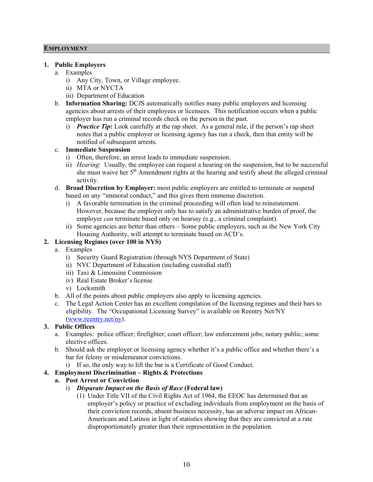#### **EMPLOYMENT**

#### **1. Public Employers**

- a. Examples
	- i) Any City, Town, or Village employee.
	- ii) MTA or NYCTA
	- iii) Department of Education
- b. **Information Sharing:** DCJS automatically notifies many public employers and licensing agencies about arrests of their employees or licensees. This notification occurs when a public employer has run a criminal records check on the person in the past.
	- i) *Practice Tip***:** Look carefully at the rap sheet. As a general rule, if the person's rap sheet notes that a public employer or licensing agency has run a check, then that entity will be notified of subsequent arrests.

#### c. **Immediate Suspension**

- i) Often, therefore, an arrest leads to immediate suspension.
- ii) *Hearing*: Usually, the employee can request a hearing on the suspension, but to be successful she must waive her 5<sup>th</sup> Amendment rights at the hearing and testify about the alleged criminal activity.
- d. **Broad Discretion by Employer:** most public employers are entitled to terminate or suspend based on any "immoral conduct," and this gives them immense discretion.
	- i) A favorable termination in the criminal proceeding will often lead to reinstatement. However, because the employer only has to satisfy an administrative burden of proof, the employer *can* terminate based only on hearsay (e.g., a criminal complaint).
	- ii) Some agencies are better than others Some public employers, such as the New York City Housing Authority, will attempt to terminate based on ACD's.

#### **2. Licensing Regimes (over 100 in NYS)**

- a. Examples
	- i) Security Guard Registration (through NYS Department of State)
	- ii) NYC Department of Education (including custodial staff)
	- iii) Taxi & Limousine Commission
	- iv) Real Estate Broker's license
	- v) Locksmith
- b. All of the points about public employers also apply to licensing agencies.
- c. The Legal Action Center has an excellent compilation of the licensing regimes and their bars to eligibility. The "Occupational Licensing Survey" is available on Reentry Net/NY (www.reentry.net/ny).

#### **3. Public Offices**

- a. Examples: police officer; firefighter; court officer; law enforcement jobs; notary public; some elective offices.
- b. Should ask the employer or licensing agency whether it's a public office and whether there's a bar for felony or misdemeanor convictions.
	- i) If so, the only way to lift the bar is a Certificate of Good Conduct.

# **4. Employment Discrimination – Rights & Protections**

#### **a. Post Arrest or Conviction**

- i) *Disparate Impact on the Basis of Race* **(Federal law)**
	- (1) Under Title VII of the Civil Rights Act of 1964, the EEOC has determined that an employer's policy or practice of excluding individuals from employment on the basis of their conviction records, absent business necessity, has an adverse impact on African-Americans and Latinos in light of statistics showing that they are convicted at a rate disproportionately greater than their representation in the population.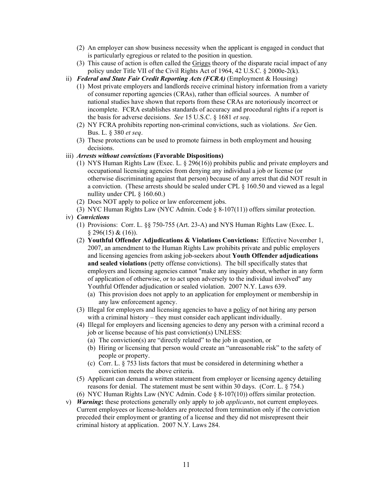- (2) An employer can show business necessity when the applicant is engaged in conduct that is particularly egregious or related to the position in question.
- (3) This cause of action is often called the Griggs theory of the disparate racial impact of any policy under Title VII of the Civil Rights Act of 1964, 42 U.S.C. § 2000e-2(k).
- ii) *Federal and State Fair Credit Reporting Acts (FCRA)* (Employment & Housing)
	- (1) Most private employers and landlords receive criminal history information from a variety of consumer reporting agencies (CRAs), rather than official sources. A number of national studies have shown that reports from these CRAs are notoriously incorrect or incomplete. FCRA establishes standards of accuracy and procedural rights if a report is the basis for adverse decisions. *See* 15 U.S.C. § 1681 *et seq*.
	- (2) NY FCRA prohibits reporting non-criminal convictions, such as violations. *See* Gen. Bus. L. § 380 *et seq*.
	- (3) These protections can be used to promote fairness in both employment and housing decisions.
- iii) *Arrests without convictions* **(Favorable Dispositions)**
	- (1) NYS Human Rights Law (Exec. L. § 296(16)) prohibits public and private employers and occupational licensing agencies from denying any individual a job or license (or otherwise discriminating against that person) because of any arrest that did NOT result in a conviction. (These arrests should be sealed under CPL § 160.50 and viewed as a legal nullity under CPL § 160.60.)
	- (2) Does NOT apply to police or law enforcement jobs.
	- (3) NYC Human Rights Law (NYC Admin. Code § 8-107(11)) offers similar protection.
- iv) *Convictions*
	- (1) Provisions: Corr. L. §§ 750-755 (Art. 23-A) and NYS Human Rights Law (Exec. L. § 296(15) & (16)).
	- (2) **Youthful Offender Adjudications & Violations Convictions:** Effective November 1, 2007, an amendment to the Human Rights Law prohibits private and public employers and licensing agencies from asking job-seekers about **Youth Offender adjudications and sealed violations** (petty offense convictions). The bill specifically states that employers and licensing agencies cannot "make any inquiry about, whether in any form of application of otherwise, or to act upon adversely to the individual involved" any Youthful Offender adjudication or sealed violation. 2007 N.Y. Laws 639.
		- (a) This provision does not apply to an application for employment or membership in any law enforcement agency.
	- (3) Illegal for employers and licensing agencies to have a policy of not hiring any person with a criminal history – they must consider each applicant individually.
	- (4) Illegal for employers and licensing agencies to deny any person with a criminal record a job or license because of his past conviction(s) UNLESS:
		- (a) The conviction(s) are "directly related" to the job in question, or
		- (b) Hiring or licensing that person would create an "unreasonable risk" to the safety of people or property.
		- (c) Corr. L. § 753 lists factors that must be considered in determining whether a conviction meets the above criteria.
	- (5) Applicant can demand a written statement from employer or licensing agency detailing reasons for denial. The statement must be sent within 30 days. (Corr. L. § 754.)
	- (6) NYC Human Rights Law (NYC Admin. Code § 8-107(10)) offers similar protection.
- v) *Warning***:** these protections generally only apply to job *applicants*, not current employees. Current employees or license-holders are protected from termination only if the conviction preceded their employment or granting of a license and they did not misrepresent their criminal history at application. 2007 N.Y. Laws 284.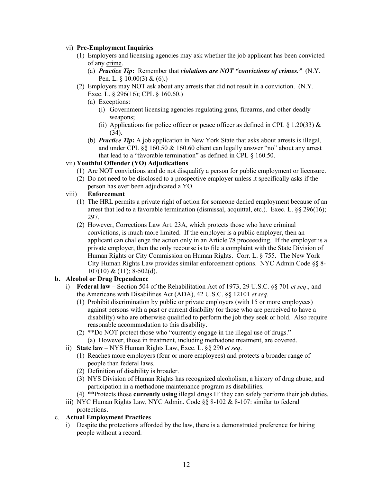#### vi) **Pre-Employment Inquiries**

- (1) Employers and licensing agencies may ask whether the job applicant has been convicted of any crime.
	- (a) *Practice Tip***:** Remember that *violations are NOT "convictions of crimes."* (N.Y. Pen. L.  $\S$  10.00(3) & (6).)
- (2) Employers may NOT ask about any arrests that did not result in a conviction. (N.Y. Exec. L. § 296(16); CPL § 160.60.)
	- (a) Exceptions:
		- (i) Government licensing agencies regulating guns, firearms, and other deadly weapons;
		- (ii) Applications for police officer or peace officer as defined in CPL  $\S$  1.20(33)  $\&$ (34).
	- (b) *Practice Tip***:** A job application in New York State that asks about arrests is illegal, and under CPL §§ 160.50 & 160.60 client can legally answer "no" about any arrest that lead to a "favorable termination" as defined in CPL § 160.50.

#### vii) **Youthful Offender (YO) Adjudications**

- (1) Are NOT convictions and do not disqualify a person for public employment or licensure.
- (2) Do not need to be disclosed to a prospective employer unless it specifically asks if the person has ever been adjudicated a YO.

#### viii) **Enforcement**

- (1) The HRL permits a private right of action for someone denied employment because of an arrest that led to a favorable termination (dismissal, acquittal, etc.). Exec. L. §§ 296(16); 297.
- (2) However, Corrections Law Art. 23A, which protects those who have criminal convictions, is much more limited. If the employer is a public employer, then an applicant can challenge the action only in an Article 78 proceeeding. If the employer is a private employer, then the only recourse is to file a complaint with the State Division of Human Rights or City Commission on Human Rights. Corr. L. § 755. The New York City Human Rights Law provides similar enforcement options. NYC Admin Code §§ 8-  $107(10) \& (11); 8-502(d).$

#### **b. Alcohol or Drug Dependence**

- i) **Federal law**  Section 504 of the Rehabilitation Act of 1973, 29 U.S.C. §§ 701 *et seq*., and the Americans with Disabilities Act (ADA), 42 U.S.C. §§ 12101 *et seq*.
	- (1) Prohibit discrimination by public or private employers (with 15 or more employees) against persons with a past or current disability (or those who are perceived to have a disability) who are otherwise qualified to perform the job they seek or hold. Also require reasonable accommodation to this disability.
	- (2) \*\*Do NOT protect those who "currently engage in the illegal use of drugs." (a) However, those in treatment, including methadone treatment, are covered.
- ii) **State law** NYS Human Rights Law, Exec. L. §§ 290 *et seq*.
	- (1) Reaches more employers (four or more employees) and protects a broader range of people than federal laws.
	- (2) Definition of disability is broader.
	- (3) NYS Division of Human Rights has recognized alcoholism, a history of drug abuse, and participation in a methadone maintenance program as disabilities.
	- (4) \*\*Protects those **currently using** illegal drugs IF they can safely perform their job duties.
- iii) NYC Human Rights Law, NYC Admin. Code §§ 8-102 & 8-107: similar to federal protections.

#### c. **Actual Employment Practices**

i) Despite the protections afforded by the law, there is a demonstrated preference for hiring people without a record.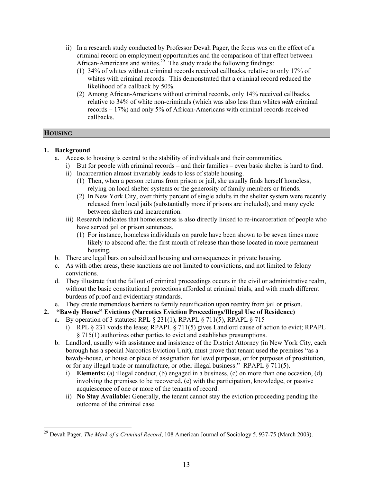- ii) In a research study conducted by Professor Devah Pager, the focus was on the effect of a criminal record on employment opportunities and the comparison of that effect between African-Americans and whites.<sup>29</sup> The study made the following findings:
	- (1) 34% of whites without criminal records received callbacks, relative to only 17% of whites with criminal records. This demonstrated that a criminal record reduced the likelihood of a callback by 50%.
	- (2) Among African-Americans without criminal records, only 14% received callbacks, relative to 34% of white non-criminals (which was also less than whites *with* criminal records – 17%) and only 5% of African-Americans with criminal records received callbacks.

#### **HOUSING**

 $\overline{a}$ 

#### **1. Background**

- a. Access to housing is central to the stability of individuals and their communities.
	- i) But for people with criminal records and their families even basic shelter is hard to find.
	- ii) Incarceration almost invariably leads to loss of stable housing.
		- (1) Then, when a person returns from prison or jail, she usually finds herself homeless, relying on local shelter systems or the generosity of family members or friends.
		- (2) In New York City, over thirty percent of single adults in the shelter system were recently released from local jails (substantially more if prisons are included), and many cycle between shelters and incarceration.
	- iii) Research indicates that homelessness is also directly linked to re-incarceration of people who have served jail or prison sentences.
		- (1) For instance, homeless individuals on parole have been shown to be seven times more likely to abscond after the first month of release than those located in more permanent housing.
- b. There are legal bars on subsidized housing and consequences in private housing.
- c. As with other areas, these sanctions are not limited to convictions, and not limited to felony convictions.
- d. They illustrate that the fallout of criminal proceedings occurs in the civil or administrative realm, without the basic constitutional protections afforded at criminal trials, and with much different burdens of proof and evidentiary standards.
- e. They create tremendous barriers to family reunification upon reentry from jail or prison.

# **2. "Bawdy House" Evictions (Narcotics Eviction Proceedings/Illegal Use of Residence)**

- a. By operation of 3 statutes: RPL  $\S 231(1)$ , RPAPL  $\S 711(5)$ , RPAPL  $\S 715$ 
	- i) RPL  $\S 231$  voids the lease; RPAPL  $\S 711(5)$  gives Landlord cause of action to evict; RPAPL § 715(1) authorizes other parties to evict and establishes presumptions.
- b. Landlord, usually with assistance and insistence of the District Attorney (in New York City, each borough has a special Narcotics Eviction Unit), must prove that tenant used the premises "as a bawdy-house, or house or place of assignation for lewd purposes, or for purposes of prostitution, or for any illegal trade or manufacture, or other illegal business." RPAPL § 711(5).
	- i) **Elements:** (a) illegal conduct, (b) engaged in a business, (c) on more than one occasion, (d) involving the premises to be recovered, (e) with the participation, knowledge, or passive acquiescence of one or more of the tenants of record.
	- ii) **No Stay Available:** Generally, the tenant cannot stay the eviction proceeding pending the outcome of the criminal case.

<sup>29</sup> Devah Pager, *The Mark of a Criminal Record*, 108 American Journal of Sociology 5, 937-75 (March 2003).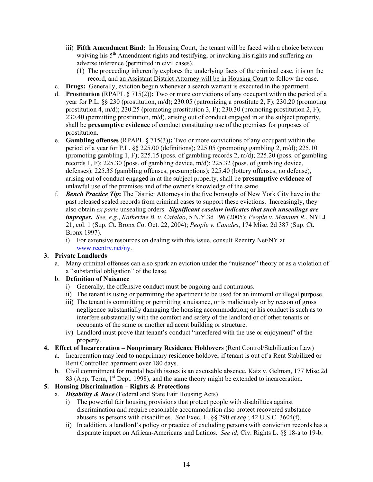- iii) **Fifth Amendment Bind:** In Housing Court, the tenant will be faced with a choice between waiving his 5<sup>th</sup> Amendment rights and testifying, or invoking his rights and suffering an adverse inference (permitted in civil cases).
	- (1) The proceeding inherently explores the underlying facts of the criminal case, it is on the record, and an Assistant District Attorney will be in Housing Court to follow the case.
- c. **Drugs:** Generally, eviction begun whenever a search warrant is executed in the apartment.
- d. **Prostitution** (RPAPL § 715(2))**:** Two or more convictions of any occupant within the period of a year for P.L. §§ 230 (prostitution, m/d); 230.05 (patronizing a prostitute 2, F); 230.20 (promoting prostitution 4, m/d); 230.25 (promoting prostitution 3, F); 230.30 (promoting prostitution 2, F); 230.40 (permitting prostitution,  $m/d$ ), arising out of conduct engaged in at the subject property, shall be **presumptive evidence** of conduct constituting use of the premises for purposes of prostitution.
- e. **Gambling offenses** (RPAPL § 715(3))**:** Two or more convictions of any occupant within the period of a year for P.L. §§ 225.00 (definitions); 225.05 (promoting gambling 2, m/d); 225.10 (promoting gambling 1, F); 225.15 (poss. of gambling records 2, m/d); 225.20 (poss. of gambling records 1, F); 225.30 (poss. of gambling device, m/d); 225.32 (poss. of gambling device, defenses); 225.35 (gambling offenses, presumptions); 225.40 (lottery offenses, no defense), arising out of conduct engaged in at the subject property, shall be **presumptive evidence** of unlawful use of the premises and of the owner's knowledge of the same.
- f. *Bench Practice Tip***:** The District Attorneys in the five boroughs of New York City have in the past released sealed records from criminal cases to support these evictions. Increasingly, they also obtain *ex parte* unsealing orders. *Significant caselaw indicates that such unsealings are improper. See, e.g.*, *Katherine B. v. Cataldo*, 5 N.Y.3d 196 (2005); *People v. Manauri R.*, NYLJ 21, col. 1 (Sup. Ct. Bronx Co. Oct. 22, 2004); *People v. Canales*, 174 Misc. 2d 387 (Sup. Ct. Bronx 1997).
	- i) For extensive resources on dealing with this issue, consult Reentry Net/NY at www.reentry.net/ny.

#### **3. Private Landlords**

a. Many criminal offenses can also spark an eviction under the "nuisance" theory or as a violation of a "substantial obligation" of the lease.

#### b. **Definition of Nuisance**

- i) Generally, the offensive conduct must be ongoing and continuous.
- ii) The tenant is using or permitting the apartment to be used for an immoral or illegal purpose.
- iii) The tenant is committing or permitting a nuisance, or is maliciously or by reason of gross negligence substantially damaging the housing accommodation; or his conduct is such as to interfere substantially with the comfort and safety of the landlord or of other tenants or occupants of the same or another adjacent building or structure.
- iv) Landlord must prove that tenant's conduct "interfered with the use or enjoyment" of the property.
- **4. Effect of Incarceration Nonprimary Residence Holdovers** (Rent Control/Stabilization Law)
	- a. Incarceration may lead to nonprimary residence holdover if tenant is out of a Rent Stabilized or Rent Controlled apartment over 180 days.
	- b. Civil commitment for mental health issues is an excusable absence, Katz v. Gelman, 177 Misc.2d 83 (App. Term, 1<sup>st</sup> Dept. 1998), and the same theory might be extended to incarceration.

#### **5. Housing Discrimination – Rights & Protections**

- a. *Disability & Race* (Federal and State Fair Housing Acts)
	- i) The powerful fair housing provisions that protect people with disabilities against discrimination and require reasonable accommodation also protect recovered substance abusers as persons with disabilities. *See* Exec. L. §§ 290 *et seq*.; 42 U.S.C. 3604(f).
	- ii) In addition, a landlord's policy or practice of excluding persons with conviction records has a disparate impact on African-Americans and Latinos. *See id*; Civ. Rights L. §§ 18-a to 19-b.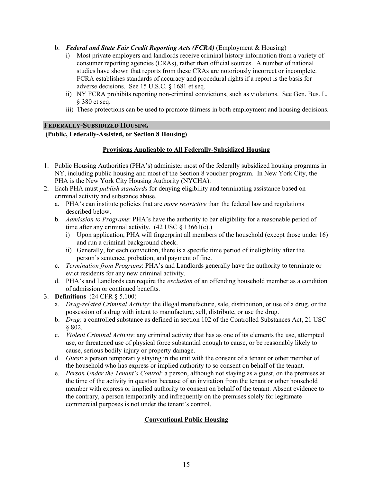- b. *Federal and State Fair Credit Reporting Acts (FCRA)* (Employment & Housing)
	- i) Most private employers and landlords receive criminal history information from a variety of consumer reporting agencies (CRAs), rather than official sources. A number of national studies have shown that reports from these CRAs are notoriously incorrect or incomplete. FCRA establishes standards of accuracy and procedural rights if a report is the basis for adverse decisions. See 15 U.S.C. § 1681 et seq.
	- ii) NY FCRA prohibits reporting non-criminal convictions, such as violations. See Gen. Bus. L. § 380 et seq.
	- iii) These protections can be used to promote fairness in both employment and housing decisions.

#### **FEDERALLY-SUBSIDIZED HOUSING**

#### **(Public, Federally-Assisted, or Section 8 Housing)**

#### **Provisions Applicable to All Federally-Subsidized Housing**

- 1. Public Housing Authorities (PHA's) administer most of the federally subsidized housing programs in NY, including public housing and most of the Section 8 voucher program. In New York City, the PHA is the New York City Housing Authority (NYCHA).
- 2. Each PHA must *publish standards* for denying eligibility and terminating assistance based on criminal activity and substance abuse.
	- a. PHA's can institute policies that are *more restrictive* than the federal law and regulations described below.
	- b. *Admission to Programs*: PHA's have the authority to bar eligibility for a reasonable period of time after any criminal activity.  $(42 \text{ USC} \text{ } \text{\&} 13661(c))$ 
		- i) Upon application, PHA will fingerprint all members of the household (except those under 16) and run a criminal background check.
		- ii) Generally, for each conviction, there is a specific time period of ineligibility after the person's sentence, probation, and payment of fine.
	- c. *Termination from Programs*: PHA's and Landlords generally have the authority to terminate or evict residents for any new criminal activity.
	- d. PHA's and Landlords can require the *exclusion* of an offending household member as a condition of admission or continued benefits.
- 3. **Definitions** (24 CFR § 5.100)
	- a. *Drug-related Criminal Activity*: the illegal manufacture, sale, distribution, or use of a drug, or the possession of a drug with intent to manufacture, sell, distribute, or use the drug.
	- b. *Drug*: a controlled substance as defined in section 102 of the Controlled Substances Act, 21 USC § 802.
	- c. *Violent Criminal Activity*: any criminal activity that has as one of its elements the use, attempted use, or threatened use of physical force substantial enough to cause, or be reasonably likely to cause, serious bodily injury or property damage.
	- d. *Guest*: a person temporarily staying in the unit with the consent of a tenant or other member of the household who has express or implied authority to so consent on behalf of the tenant.
	- e. *Person Under the Tenant's Control*: a person, although not staying as a guest, on the premises at the time of the activity in question because of an invitation from the tenant or other household member with express or implied authority to consent on behalf of the tenant. Absent evidence to the contrary, a person temporarily and infrequently on the premises solely for legitimate commercial purposes is not under the tenant's control.

#### **Conventional Public Housing**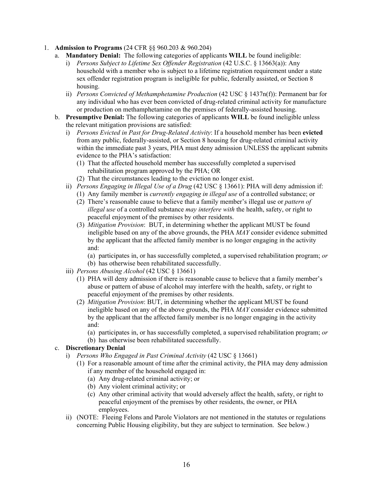#### 1. **Admission to Programs** (24 CFR §§ 960.203 & 960.204)

- a. **Mandatory Denial:** The following categories of applicants **WILL** be found ineligible:
	- i) *Persons Subject to Lifetime Sex Offender Registration* (42 U.S.C. § 13663(a)): Any household with a member who is subject to a lifetime registration requirement under a state sex offender registration program is ineligible for public, federally assisted, or Section 8 housing.
	- ii) *Persons Convicted of Methamphetamine Production* (42 USC § 1437n(f)): Permanent bar for any individual who has ever been convicted of drug-related criminal activity for manufacture or production on methamphetamine on the premises of federally-assisted housing.
- b. **Presumptive Denial:** The following categories of applicants **WILL** be found ineligible unless the relevant mitigation provisions are satisfied:
	- i) *Persons Evicted in Past for Drug-Related Activity*: If a household member has been **evicted** from any public, federally-assisted, or Section 8 housing for drug-related criminal activity within the immediate past 3 years. PHA must deny admission UNLESS the applicant submits evidence to the PHA's satisfaction:
		- (1) That the affected household member has successfully completed a supervised rehabilitation program approved by the PHA; OR
		- (2) That the circumstances leading to the eviction no longer exist.
	- ii) *Persons Engaging in Illegal Use of a Drug* (42 USC § 13661): PHA will deny admission if:
		- (1) Any family member is *currently engaging in illegal use* of a controlled substance; or
		- (2) There's reasonable cause to believe that a family member's illegal use or *pattern of illegal use* of a controlled substance *may interfere with* the health, safety, or right to peaceful enjoyment of the premises by other residents.
		- (3) *Mitigation Provision*: BUT, in determining whether the applicant MUST be found ineligible based on any of the above grounds, the PHA *MAY* consider evidence submitted by the applicant that the affected family member is no longer engaging in the activity and:
			- (a) participates in, or has successfully completed, a supervised rehabilitation program; *or*
		- (b) has otherwise been rehabilitated successfully.
	- iii) *Persons Abusing Alcohol* (42 USC § 13661)
		- (1) PHA will deny admission if there is reasonable cause to believe that a family member's abuse or pattern of abuse of alcohol may interfere with the health, safety, or right to peaceful enjoyment of the premises by other residents.
		- (2) *Mitigation Provision*: BUT, in determining whether the applicant MUST be found ineligible based on any of the above grounds, the PHA *MAY* consider evidence submitted by the applicant that the affected family member is no longer engaging in the activity and:
			- (a) participates in, or has successfully completed, a supervised rehabilitation program; *or*
			- (b) has otherwise been rehabilitated successfully.

#### c. **Discretionary Denial**

- i) *Persons Who Engaged in Past Criminal Activity* (42 USC § 13661)
	- (1) For a reasonable amount of time after the criminal activity, the PHA may deny admission if any member of the household engaged in:
		- (a) Any drug-related criminal activity; or
		- (b) Any violent criminal activity; or
		- (c) Any other criminal activity that would adversely affect the health, safety, or right to peaceful enjoyment of the premises by other residents, the owner, or PHA employees.
- ii) (NOTE: Fleeing Felons and Parole Violators are not mentioned in the statutes or regulations concerning Public Housing eligibility, but they are subject to termination. See below.)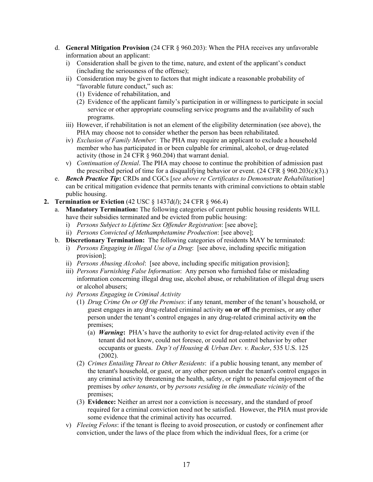- d. **General Mitigation Provision** (24 CFR § 960.203): When the PHA receives any unfavorable information about an applicant:
	- i) Consideration shall be given to the time, nature, and extent of the applicant's conduct (including the seriousness of the offense);
	- ii) Consideration may be given to factors that might indicate a reasonable probability of "favorable future conduct," such as:
		- (1) Evidence of rehabilitation, and
		- (2) Evidence of the applicant family's participation in or willingness to participate in social service or other appropriate counseling service programs and the availability of such programs.
	- iii) However, if rehabilitation is not an element of the eligibility determination (see above), the PHA may choose not to consider whether the person has been rehabilitated.
	- iv) *Exclusion of Family Member*: The PHA may require an applicant to exclude a household member who has participated in or been culpable for criminal, alcohol, or drug-related activity (those in 24 CFR § 960.204) that warrant denial.
	- v) *Continuation of Denial*. The PHA may choose to continue the prohibition of admission past the prescribed period of time for a disqualifying behavior or event.  $(24 \text{ CFR} \text{ } \text{\textless} 960.203(c)(3))$ .
- e. *Bench Practice Tip***:** CRDs and CGCs [*see above re Certificates to Demonstrate Rehabilitation*] can be critical mitigation evidence that permits tenants with criminal convictions to obtain stable public housing.
- **2. Termination or Eviction** (42 USC § 1437d(*l*); 24 CFR § 966.4)
	- a. **Mandatory Termination:** The following categories of current public housing residents WILL have their subsidies terminated and be evicted from public housing:
		- i) *Persons Subject to Lifetime Sex Offender Registration*: [see above];
		- ii) *Persons Convicted of Methamphetamine Production*: [see above];
	- b. **Discretionary Termination:** The following categories of residents MAY be terminated:
		- i) *Persons Engaging in Illegal Use of a Drug*: [see above, including specific mitigation provision];
		- ii) *Persons Abusing Alcohol*: [see above, including specific mitigation provision];
		- iii) *Persons Furnishing False Information*: Any person who furnished false or misleading information concerning illegal drug use, alcohol abuse, or rehabilitation of illegal drug users or alcohol abusers;
		- *iv) Persons Engaging in Criminal Activity* 
			- (1) *Drug Crime On or Off the Premises*: if any tenant, member of the tenant's household, or guest engages in any drug-related criminal activity **on or off** the premises, or any other person under the tenant's control engages in any drug-related criminal activity **on** the premises;
				- (a) *Warning***:** PHA's have the authority to evict for drug-related activity even if the tenant did not know, could not foresee, or could not control behavior by other occupants or guests. *Dep't of Housing & Urban Dev. v. Rucker*, 535 U.S. 125 (2002).
			- (2) *Crimes Entailing Threat to Other Residents*: if a public housing tenant, any member of the tenant's household, or guest, or any other person under the tenant's control engages in any criminal activity threatening the health, safety, or right to peaceful enjoyment of the premises by *other tenants*, or by *persons residing in the immediate vicinity* of the premises;
			- (3) **Evidence:** Neither an arrest nor a conviction is necessary, and the standard of proof required for a criminal conviction need not be satisfied. However, the PHA must provide some evidence that the criminal activity has occurred.
		- v) *Fleeing Felons*: if the tenant is fleeing to avoid prosecution, or custody or confinement after conviction, under the laws of the place from which the individual flees, for a crime (or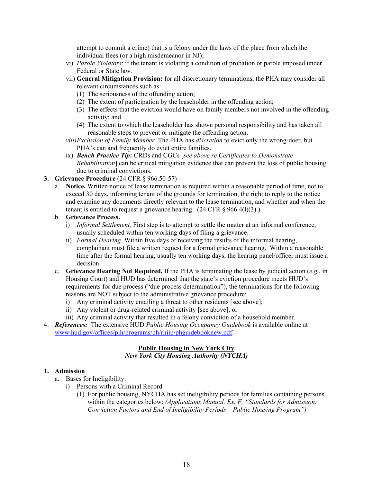attempt to commit a crime) that is a felony under the laws of the place from which the individual flees (or a high misdemeanor in NJ);

- vi) *Parole Violators*: if the tenant is violating a condition of probation or parole imposed under Federal or State law.
- vii) **General Mitigation Provision:** for all discretionary terminations, the PHA may consider all relevant circumstances such as:
	- (1) The seriousness of the offending action;
	- (2) The extent of participation by the leaseholder in the offending action;
	- (3) The effects that the eviction would have on family members not involved in the offending activity; and
	- (4) The extent to which the leaseholder has shown personal responsibility and has taken all reasonable steps to prevent or mitigate the offending action.
- *viii) Exclusion of Family Member.* The PHA has *discretion* to evict only the wrong-doer, but PHA's can and frequently do evict entire families.
- ix) *Bench Practice Tip***:** CRDs and CGCs [*see above re Certificates to Demonstrate Rehabilitation*] can be critical mitigation evidence that can prevent the loss of public housing due to criminal convictions.

#### **3. Grievance Procedure** (24 CFR § 966.50-57)

- a. **Notice.** Written notice of lease termination is required within a reasonable period of time, not to exceed 30 days, informing tenant of the grounds for termination, the right to reply to the notice and examine any documents directly relevant to the lease termination, and whether and when the tenant is entitled to request a grievance hearing.  $(24 \text{ CFR} \text{ § } 966.4(1)(3))$ .
- b. **Grievance Process.**
	- i) *Informal Settlement.* First step is to attempt to settle the matter at an informal conference, usually scheduled within ten working days of filing a grievance.
	- ii) *Formal Hearing.* Within five days of receiving the results of the informal hearing, complainant must file a written request for a formal grievance hearing. Within a reasonable time after the formal hearing, usually ten working days, the hearing panel/officer must issue a decision.
- c. **Grievance Hearing Not Required.** If the PHA is terminating the lease by judicial action (*e.g.*, in Housing Court) and HUD has determined that the state's eviction procedure meets HUD's requirements for due process ("due process determination"), the terminations for the following reasons are NOT subject to the administrative grievance procedure:
	- i) Any criminal activity entailing a threat to other residents [see above];
	- ii) Any violent or drug-related criminal activity [see above]; or
	- iii) Any criminal activity that resulted in a felony conviction of a household member.
- 4. *References:* The extensive HUD *Public Housing Occupancy Guidebook* is available online at www.hud.gov/offices/pih/programs/ph/rhiip/phguidebooknew.pdf.

#### **Public Housing in New York City** *New York City Housing Authority (NYCHA)*

#### **1. Admission**

- a. Bases for Ineligibility:
	- i) Persons with a Criminal Record
		- (1) For public housing, NYCHA has set ineligibility periods for families containing persons within the categories below: *(Applications Manual, Ex. F, "Standards for Admission: Conviction Factors and End of Ineligibility Periods – Public Housing Program")*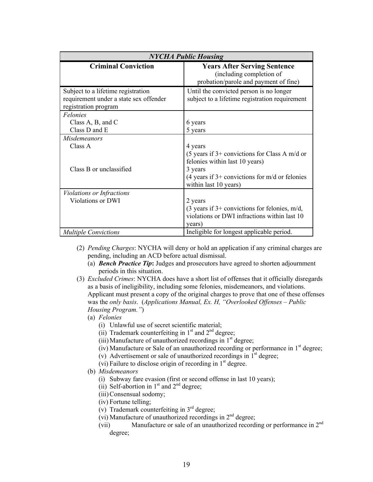| <b>NYCHA Public Housing</b>                                                                          |                                                                                                                                                                                               |  |
|------------------------------------------------------------------------------------------------------|-----------------------------------------------------------------------------------------------------------------------------------------------------------------------------------------------|--|
| <b>Criminal Conviction</b>                                                                           | <b>Years After Serving Sentence</b><br>(including completion of<br>probation/parole and payment of fine)                                                                                      |  |
| Subject to a lifetime registration<br>requirement under a state sex offender<br>registration program | Until the convicted person is no longer<br>subject to a lifetime registration requirement                                                                                                     |  |
| <b>Felonies</b><br>Class $A$ , $B$ , and $C$<br>Class D and E                                        | 6 years<br>5 years                                                                                                                                                                            |  |
| <b>Misdemeanors</b><br>Class A<br>Class B or unclassified                                            | 4 years<br>(5 years if $3+$ convictions for Class A m/d or<br>felonies within last 10 years)<br>3 years<br>$(4 \text{ years if } 3+$ convictions for m/d or felonies<br>within last 10 years) |  |
| <b>Violations or Infractions</b><br><b>Violations or DWI</b>                                         | 2 years<br>(3 years if $3+$ convictions for felonies, m/d,<br>violations or DWI infractions within last 10<br>years)                                                                          |  |
| <b>Multiple Convictions</b>                                                                          | Ineligible for longest applicable period.                                                                                                                                                     |  |

- (2) *Pending Charges*: NYCHA will deny or hold an application if any criminal charges are pending, including an ACD before actual dismissal.
	- (a) *Bench Practice Tip***:** Judges and prosecutors have agreed to shorten adjournment periods in this situation.
- (3) *Excluded Crimes*: NYCHA does have a short list of offenses that it officially disregards as a basis of ineligibility, including some felonies, misdemeanors, and violations. Applicant must present a copy of the original charges to prove that one of these offenses was the *only basis*. (*Applications Manual, Ex. H, "Overlooked Offenses – Public Housing Program."*)
	- (a) *Felonies*
		- (i) Unlawful use of secret scientific material;
		- (ii) Trademark counterfeiting in  $1<sup>st</sup>$  and  $2<sup>nd</sup>$  degree;
		- (iii) Manufacture of unauthorized recordings in  $1<sup>st</sup>$  degree;
		- (iv) Manufacture or Sale of an unauthorized recording or performance in  $1<sup>st</sup>$  degree;
		- (v) Advertisement or sale of unauthorized recordings in  $1<sup>st</sup>$  degree;
		- (vi) Failure to disclose origin of recording in  $1<sup>st</sup>$  degree.
	- (b) *Misdemeanors*
		- (i) Subway fare evasion (first or second offense in last 10 years);
		- (ii) Self-abortion in  $1<sup>st</sup>$  and  $2<sup>nd</sup>$  degree;
		- (iii) Consensual sodomy;
		- (iv) Fortune telling;
		- (v) Trademark counterfeiting in  $3<sup>rd</sup>$  degree;
		- (vi) Manufacture of unauthorized recordings in  $2<sup>nd</sup>$  degree;
		- (vii) Manufacture or sale of an unauthorized recording or performance in 2nd degree;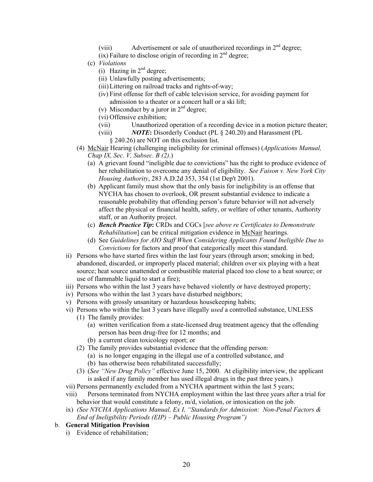- (viii) Advertisement or sale of unauthorized recordings in 2<sup>nd</sup> degree;
- $(ix)$  Failure to disclose origin of recording in  $2<sup>nd</sup>$  degree;
- (c) *Violations*
	- (i) Hazing in  $2<sup>nd</sup>$  degree;
	- (ii) Unlawfully posting advertisements;
	- (iii) Littering on railroad tracks and rights-of-way;
	- (iv) First offense for theft of cable television service, for avoiding payment for admission to a theater or a concert hall or a ski lift;
	- (v) Misconduct by a juror in  $2<sup>nd</sup>$  degree;
	- (vi) Offensive exhibition;
	- (vii) Unauthorized operation of a recording device in a motion picture theater;
	- (viii) *NOTE***:** Disorderly Conduct (PL § 240.20) and Harassment (PL
		- § 240.26) are NOT on this exclusion list.
- (4) McNair Hearing (challenging ineligibility for criminal offenses) (*Applications Manual, Chap IX, Sec. V, Subsec. B (2)*.)
	- (a) A grievant found "ineligible due to convictions" has the right to produce evidence of her rehabilitation to overcome any denial of eligibility. *See Faison v. New York City Housing Authority*, 283 A.D.2d 353, 354 (1st Dep't 2001).
	- (b) Applicant family must show that the only basis for ineligibility is an offense that NYCHA has chosen to overlook, OR present substantial evidence to indicate a reasonable probability that offending person's future behavior will not adversely affect the physical or financial health, safety, or welfare of other tenants, Authority staff, or an Authority project.
	- (c) *Bench Practice Tip***:** CRDs and CGCs [*see above re Certificates to Demonstrate Rehabilitation*] can be critical mitigation evidence in McNair hearings.
	- (d) See *Guidelines for AIO Staff When Considering Applicants Found Ineligible Due to Convictions* for factors and proof that categorically meet this standard.
- ii) Persons who have started fires within the last four years (through arson; smoking in bed; abandoned, discarded, or improperly placed material; children over six playing with a heat source; heat source unattended or combustible material placed too close to a heat source; or use of flammable liquid to start a fire);
- iii) Persons who within the last 3 years have behaved violently or have destroyed property;
- iv) Persons who within the last 3 years have disturbed neighbors;
- v) Persons with grossly unsanitary or hazardous housekeeping habits;
- vi) Persons who within the last 3 years have illegally *used* a controlled substance, UNLESS
	- (1) The family provides:
		- (a) written verification from a state-licensed drug treatment agency that the offending person has been drug-free for 12 months; and
		- (b) a current clean toxicology report; or
	- (2) The family provides substantial evidence that the offending person: (a) is no longer engaging in the illegal use of a controlled substance, and
		- (b) has otherwise been rehabilitated successfully;
	- (3) (*See "New Drug Policy"* effective June 15, 2000. At eligibility interview, the applicant is asked if any family member has used illegal drugs in the past three years.)
- vii) Persons permanently excluded from a NYCHA apartment within the last 5 years;
- viii) Persons terminated from NYCHA employment within the last three years after a trial for behavior that would constitute a felony, m/d, violation, or intoxication on the job.
- ix) *(See NYCHA Applications Manual, Ex I, "Standards for Admission: Non-Penal Factors & End of Ineligibility Periods (EIP) – Public Housing Program")*
- b. **General Mitigation Provision**
	- i) Evidence of rehabilitation;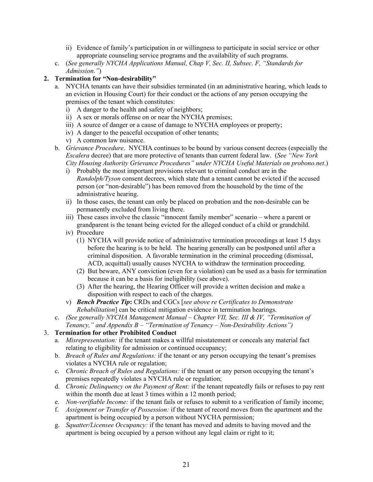- ii) Evidence of family's participation in or willingness to participate in social service or other appropriate counseling service programs and the availability of such programs.
- c. (*See generally NYCHA Applications Manual, Chap V, Sec. II, Subsec. F, "Standards for Admission."*)

# **2. Termination for "Non-desirability"**

- a. NYCHA tenants can have their subsidies terminated (in an administrative hearing, which leads to an eviction in Housing Court) for their conduct or the actions of any person occupying the premises of the tenant which constitutes:
	- i) A danger to the health and safety of neighbors;
	- ii) A sex or morals offense on or near the NYCHA premises;
	- iii) A source of danger or a cause of damage to NYCHA employees or property;
	- iv) A danger to the peaceful occupation of other tenants;
	- v) A common law nuisance.
- b. *Grievance Procedure*. NYCHA continues to be bound by various consent decrees (especially the *Escalera* decree) that are more protective of tenants than current federal law. (*See "New York City Housing Authority Grievance Procedures" under NYCHA Useful Materials on probono.net*.)
	- i) Probably the most important provisions relevant to criminal conduct are in the *Randolph/Tyson* consent decrees, which state that a tenant cannot be evicted if the accused person (or "non-desirable") has been removed from the household by the time of the administrative hearing.
	- ii) In those cases, the tenant can only be placed on probation and the non-desirable can be permanently excluded from living there.
	- iii) These cases involve the classic "innocent family member" scenario where a parent or grandparent is the tenant being evicted for the alleged conduct of a child or grandchild.
	- iv) Procedure
		- (1) NYCHA will provide notice of administrative termination proceedings at least 15 days before the hearing is to be held. The hearing generally can be postponed until after a criminal disposition. A favorable termination in the criminal proceeding (dismissal, ACD, acquittal) usually causes NYCHA to withdraw the termination proceeding.
		- (2) But beware, ANY conviction (even for a violation) can be used as a basis for termination because it can be a basis for ineligibility (see above).
		- (3) After the hearing, the Hearing Officer will provide a written decision and make a disposition with respect to each of the charges.
	- v) *Bench Practice Tip***:** CRDs and CGCs [*see above re Certificates to Demonstrate Rehabilitation*] can be critical mitigation evidence in termination hearings.
- c. *(See generally NYCHA Management Manual Chapter VII, Sec. III & IV, "Termination of Tenancy," and Appendix B – "Termination of Tenancy – Non-Desirability Actions")*

# 3. **Termination for other Prohibited Conduct**

- a. *Misrepresentation:* if the tenant makes a willful misstatement or conceals any material fact relating to eligibility for admission or continued occupancy;
- b. *Breach of Rules and Regulations:* if the tenant or any person occupying the tenant's premises violates a NYCHA rule or regulation;
- c. *Chronic Breach of Rules and Regulations:* if the tenant or any person occupying the tenant's premises repeatedly violates a NYCHA rule or regulation;
- d. *Chronic Delinquency on the Payment of Rent:* if the tenant repeatedly fails or refuses to pay rent within the month due at least 3 times within a 12 month period;
- e. *Non-verifiable Income:* if the tenant fails or refuses to submit to a verification of family income;
- f. *Assignment or Transfer of Possession:* if the tenant of record moves from the apartment and the apartment is being occupied by a person without NYCHA permission;
- g. *Squatter/Licensee Occupancy:* if the tenant has moved and admits to having moved and the apartment is being occupied by a person without any legal claim or right to it;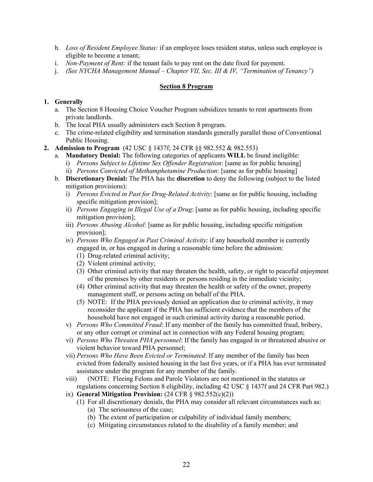- h. *Loss of Resident Employee Status:* if an employee loses resident status, unless such employee is eligible to become a tenant;
- i. *Non-Payment of Rent:* if the tenant fails to pay rent on the date fixed for payment.
- j. *(See NYCHA Management Manual Chapter VII, Sec. III & IV, "Termination of Tenancy")*

#### **Section 8 Program**

#### **1. Generally**

- a. The Section 8 Housing Choice Voucher Program subsidizes tenants to rent apartments from private landlords.
- b. The local PHA usually administers each Section 8 program.
- c. The crime-related eligibility and termination standards generally parallel those of Conventional Public Housing.
- **2. Admission to Program** (42 USC § 1437f; 24 CFR §§ 982.552 & 982.553)
	- a. **Mandatory Denial:** The following categories of applicants **WILL** be found ineligible:
		- i) *Persons Subject to Lifetime Sex Offender Registration*: [same as for public housing]
		- ii) *Persons Convicted of Methamphetamine Production*: [same as for public housing]
	- b. **Discretionary Denial:** The PHA has the **discretion** to deny the following (subject to the listed mitigation provisions):
		- i) *Persons Evicted in Past for Drug-Related Activity*: [same as for public housing, including specific mitigation provision];
		- ii) *Persons Engaging in Illegal Use of a Drug*: [same as for public housing, including specific mitigation provision];
		- iii) *Persons Abusing Alcohol*: [same as for public housing, including specific mitigation provision];
		- iv) *Persons Who Engaged in Past Criminal Activity*: if any household member is currently engaged in, or has engaged in during a reasonable time before the admission:
			- (1) Drug-related criminal activity;
			- (2) Violent criminal activity;
			- (3) Other criminal activity that may threaten the health, safety, or right to peaceful enjoyment of the premises by other residents or persons residing in the immediate vicinity;
			- (4) Other criminal activity that may threaten the health or safety of the owner, property management staff, or persons acting on behalf of the PHA.
			- (5) NOTE: If the PHA previously denied an application due to criminal activity, it may reconsider the applicant if the PHA has sufficient evidence that the members of the household have not engaged in such criminal activity during a reasonable period.
		- v) *Persons Who Committed Fraud*: If any member of the family has committed fraud, bribery, or any other corrupt or criminal act in connection with any Federal housing program;
		- vi) *Persons Who Threaten PHA personnel*: If the family has engaged in or threatened abusive or violent behavior toward PHA personnel;
		- vii) *Persons Who Have Been Evicted or Terminated*: If any member of the family has been evicted from federally assisted housing in the last five years, or if a PHA has ever terminated assistance under the program for any member of the family.
		- viii) (NOTE: Fleeing Felons and Parole Violators are not mentioned in the statutes or regulations concerning Section 8 eligibility, including 42 USC § 1437f and 24 CFR Part 982.)
		- ix) **General Mitigation Provision:** (24 CFR § 982.552(c)(2))
			- (1) For all discretionary denials, the PHA may consider all relevant circumstances such as: (a) The seriousness of the case;
				- (b) The extent of participation or culpability of individual family members;
				- (c) Mitigating circumstances related to the disability of a family member; and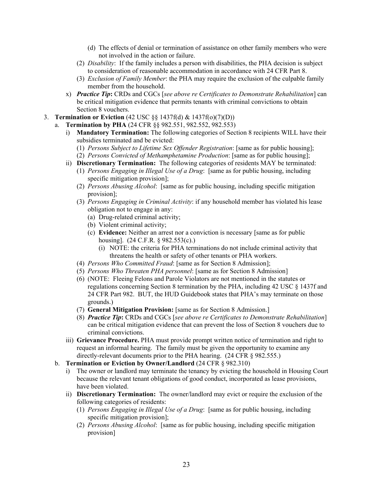- (d) The effects of denial or termination of assistance on other family members who were not involved in the action or failure.
- (2) *Disability*: If the family includes a person with disabilities, the PHA decision is subject to consideration of reasonable accommodation in accordance with 24 CFR Part 8.
- (3) *Exclusion of Family Member*: the PHA may require the exclusion of the culpable family member from the household.
- x) *Practice Tip***:** CRDs and CGCs [*see above re Certificates to Demonstrate Rehabilitation*] can be critical mitigation evidence that permits tenants with criminal convictions to obtain Section 8 vouchers.
- 3. **Termination or Eviction** (42 USC §§ 1437f(d) & 1437f(o)(7)(D))
	- a. **Termination by PHA** (24 CFR §§ 982.551, 982.552, 982.553)
		- i) **Mandatory Termination:** The following categories of Section 8 recipients WILL have their subsidies terminated and be evicted:
			- (1) *Persons Subject to Lifetime Sex Offender Registration*: [same as for public housing];
			- (2) *Persons Convicted of Methamphetamine Production*: [same as for public housing];
		- ii) **Discretionary Termination:** The following categories of residents MAY be terminated:
			- (1) *Persons Engaging in Illegal Use of a Drug*: [same as for public housing, including specific mitigation provision];
			- (2) *Persons Abusing Alcohol*: [same as for public housing, including specific mitigation provision];
			- (3) *Persons Engaging in Criminal Activity*: if any household member has violated his lease obligation not to engage in any:
				- (a) Drug-related criminal activity;
				- (b) Violent criminal activity;
				- (c) **Evidence:** Neither an arrest nor a conviction is necessary [same as for public housing]. (24 C.F.R. § 982.553(c).)
					- (i) NOTE: the criteria for PHA terminations do not include criminal activity that threatens the health or safety of other tenants or PHA workers.
			- (4) *Persons Who Committed Fraud*: [same as for Section 8 Admission];
			- (5) *Persons Who Threaten PHA personnel*: [same as for Section 8 Admission]
			- (6) (NOTE: Fleeing Felons and Parole Violators are not mentioned in the statutes or regulations concerning Section 8 termination by the PHA, including 42 USC § 1437f and 24 CFR Part 982. BUT, the HUD Guidebook states that PHA's may terminate on those grounds.)
			- (7) **General Mitigation Provision:** [same as for Section 8 Admission.]
			- (8) *Practice Tip***:** CRDs and CGCs [*see above re Certificates to Demonstrate Rehabilitation*] can be critical mitigation evidence that can prevent the loss of Section 8 vouchers due to criminal convictions.
		- iii) **Grievance Procedure.** PHA must provide prompt written notice of termination and right to request an informal hearing. The family must be given the opportunity to examine any directly-relevant documents prior to the PHA hearing. (24 CFR § 982.555.)
		- b. **Termination or Eviction by Owner/Landlord** (24 CFR § 982.310)
			- i) The owner or landlord may terminate the tenancy by evicting the household in Housing Court because the relevant tenant obligations of good conduct, incorporated as lease provisions, have been violated.
			- ii) **Discretionary Termination:** The owner/landlord may evict or require the exclusion of the following categories of residents:
				- (1) *Persons Engaging in Illegal Use of a Drug*: [same as for public housing, including specific mitigation provision];
				- (2) *Persons Abusing Alcohol*: [same as for public housing, including specific mitigation provision]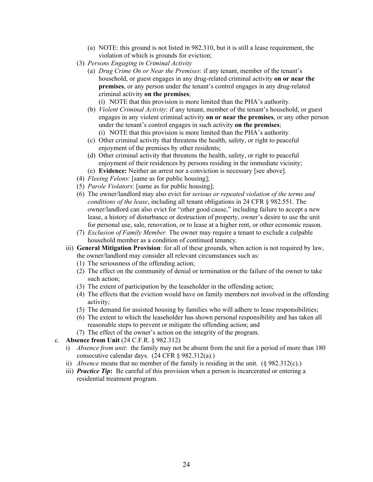- (a) NOTE: this ground is not listed in 982.310, but it is still a lease requirement, the violation of which is grounds for eviction;
- (3) *Persons Engaging in Criminal Activity*
	- (a) *Drug Crime On or Near the Premises*: if any tenant, member of the tenant's household, or guest engages in any drug-related criminal activity **on or near the premises**, or any person under the tenant's control engages in any drug-related criminal activity **on the premises**;

(i) NOTE that this provision is more limited than the PHA's authority.

- (b) *Violent Criminal Activity*: if any tenant, member of the tenant's household, or guest engages in any violent criminal activity **on or near the premises**, or any other person under the tenant's control engages in such activity **on the premises**; (i) NOTE that this provision is more limited than the PHA's authority.
- (c) Other criminal activity that threatens the health, safety, or right to peaceful enjoyment of the premises by other residents;
- (d) Other criminal activity that threatens the health, safety, or right to peaceful enjoyment of their residences by persons residing in the immediate vicinity;
- (e) **Evidence:** Neither an arrest nor a conviction is necessary [see above].
- (4) *Fleeing Felons*: [same as for public housing];
- (5) *Parole Violators*: [same as for public housing];
- (6) The owner/landlord may also evict for *serious or repeated violation of the terms and conditions of the lease*, including all tenant obligations in 24 CFR § 982.551. The owner/landlord can also evict for "other good cause," including failure to accept a new lease, a history of disturbance or destruction of property, owner's desire to use the unit for personal use, sale, renovation, or to lease at a higher rent, or other economic reason.
- (7) *Exclusion of Family Member.* The owner may require a tenant to exclude a culpable household member as a condition of continued tenancy.
- iii) **General Mitigation Provision**: for all of these grounds, when action is not required by law, the owner/landlord may consider all relevant circumstances such as:
	- (1) The seriousness of the offending action;
	- (2) The effect on the community of denial or termination or the failure of the owner to take such action;
	- (3) The extent of participation by the leaseholder in the offending action;
	- (4) The effects that the eviction would have on family members not involved in the offending activity;
	- (5) The demand for assisted housing by families who will adhere to lease responsibilities;
	- (6) The extent to which the leaseholder has shown personal responsibility and has taken all reasonable steps to prevent or mitigate the offending action; and
	- (7) The effect of the owner's action on the integrity of the program.

#### c. **Absence from Unit** (24 C.F.R. § 982.312)

- i) *Absence from unit*: the family may not be absent from the unit for a period of more than 180 consecutive calendar days. (24 CFR § 982.312(a).)
- ii) *Absence* means that no member of the family is residing in the unit. (§ 982.312(c).)
- iii) *Practice Tip***:** Be careful of this provision when a person is incarcerated or entering a residential treatment program.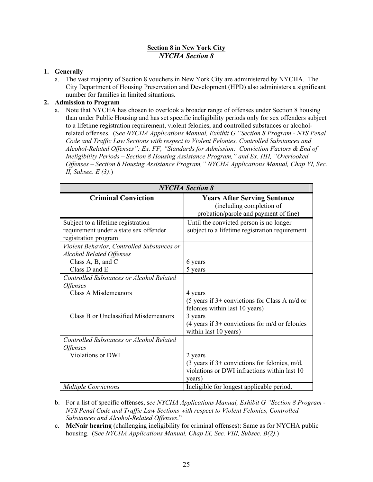#### **Section 8 in New York City** *NYCHA Section 8*

#### **1. Generally**

a. The vast majority of Section 8 vouchers in New York City are administered by NYCHA. The City Department of Housing Preservation and Development (HPD) also administers a significant number for families in limited situations.

#### **2. Admission to Program**

a. Note that NYCHA has chosen to overlook a broader range of offenses under Section 8 housing than under Public Housing and has set specific ineligibility periods only for sex offenders subject to a lifetime registration requirement, violent felonies, and controlled substances or alcoholrelated offenses. (S*ee NYCHA Applications Manual, Exhibit G "Section 8 Program - NYS Penal Code and Traffic Law Sections with respect to Violent Felonies, Controlled Substances and Alcohol-Related Offenses"; Ex. FF, "Standards for Admission: Conviction Factors & End of Ineligibility Periods – Section 8 Housing Assistance Program," and Ex. HH, "Overlooked Offenses – Section 8 Housing Assistance Program," NYCHA Applications Manual, Chap VI, Sec. II, Subsec. E (3)*.)

| <b>NYCHA</b> Section 8                                                                                                      |                                                                                                                               |  |
|-----------------------------------------------------------------------------------------------------------------------------|-------------------------------------------------------------------------------------------------------------------------------|--|
| <b>Criminal Conviction</b>                                                                                                  | <b>Years After Serving Sentence</b><br>(including completion of<br>probation/parole and payment of fine)                      |  |
| Subject to a lifetime registration<br>requirement under a state sex offender<br>registration program                        | Until the convicted person is no longer<br>subject to a lifetime registration requirement                                     |  |
| Violent Behavior, Controlled Substances or<br><b>Alcohol Related Offenses</b><br>Class $A$ , $B$ , and $C$<br>Class D and E | 6 years<br>5 years                                                                                                            |  |
| <b>Controlled Substances or Alcohol Related</b><br><i><b>Offenses</b></i>                                                   |                                                                                                                               |  |
| <b>Class A Misdemeanors</b>                                                                                                 | 4 years<br>$(5 \text{ years if } 3+$ convictions for Class A m/d or<br>felonies within last 10 years)                         |  |
| <b>Class B or Unclassified Misdemeanors</b>                                                                                 | 3 years<br>$(4 \text{ years if } 3+$ convictions for m/d or felonies<br>within last 10 years)                                 |  |
| Controlled Substances or Alcohol Related<br><i><b>Offenses</b></i>                                                          |                                                                                                                               |  |
| Violations or DWI                                                                                                           | 2 years<br>$(3 \text{ years if } 3+$ convictions for felonies, m/d,<br>violations or DWI infractions within last 10<br>vears) |  |
| <b>Multiple Convictions</b>                                                                                                 | Ineligible for longest applicable period.                                                                                     |  |

- b. For a list of specific offenses, s*ee NYCHA Applications Manual, Exhibit G "Section 8 Program NYS Penal Code and Traffic Law Sections with respect to Violent Felonies, Controlled Substances and Alcohol-Related Offenses*."
- c. **McNair hearing** (challenging ineligibility for criminal offenses): Same as for NYCHA public housing. (S*ee NYCHA Applications Manual, Chap IX, Sec. VIII, Subsec. B(2)*.)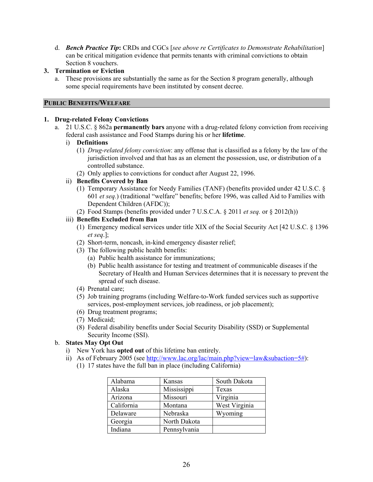d. *Bench Practice Tip***:** CRDs and CGCs [*see above re Certificates to Demonstrate Rehabilitation*] can be critical mitigation evidence that permits tenants with criminal convictions to obtain Section 8 vouchers.

#### **3. Termination or Eviction**

a. These provisions are substantially the same as for the Section 8 program generally, although some special requirements have been instituted by consent decree.

#### **PUBLIC BENEFITS/WELFARE**

#### **1. Drug-related Felony Convictions**

- a. 21 U.S.C. § 862a **permanently bars** anyone with a drug-related felony conviction from receiving federal cash assistance and Food Stamps during his or her **lifetime**.
	- i) **Definitions** 
		- (1) *Drug-related felony conviction*: any offense that is classified as a felony by the law of the jurisdiction involved and that has as an element the possession, use, or distribution of a controlled substance.
		- (2) Only applies to convictions for conduct after August 22, 1996.

#### ii) **Benefits Covered by Ban**

- (1) Temporary Assistance for Needy Families (TANF) (benefits provided under 42 U.S.C. § 601 *et seq.*) (traditional "welfare" benefits; before 1996, was called Aid to Families with Dependent Children (AFDC));
- (2) Food Stamps (benefits provided under 7 U.S.C.A. § 2011 *et seq.* or § 2012(h))

#### iii) **Benefits Excluded from Ban**

- (1) Emergency medical services under title XIX of the Social Security Act [42 U.S.C. § 1396 *et seq*.];
- (2) Short-term, noncash, in-kind emergency disaster relief;
- (3) The following public health benefits:
	- (a) Public health assistance for immunizations;
	- (b) Public health assistance for testing and treatment of communicable diseases if the Secretary of Health and Human Services determines that it is necessary to prevent the spread of such disease.
- (4) Prenatal care;
- (5) Job training programs (including Welfare-to-Work funded services such as supportive services, post-employment services, job readiness, or job placement);
- (6) Drug treatment programs;
- (7) Medicaid;
- (8) Federal disability benefits under Social Security Disability (SSD) or Supplemental Security Income (SSI).

#### b. **States May Opt Out**

- i) New York has **opted out** of this lifetime ban entirely.
- ii) As of February 2005 (see http://www.lac.org/lac/main.php?view=law&subaction=5#):
	- (1) 17 states have the full ban in place (including California)

| Alabama    | Kansas       | South Dakota  |
|------------|--------------|---------------|
| Alaska     | Mississippi  | Texas         |
| Arizona    | Missouri     | Virginia      |
| California | Montana      | West Virginia |
| Delaware   | Nebraska     | Wyoming       |
| Georgia    | North Dakota |               |
| Indiana    | Pennsylvania |               |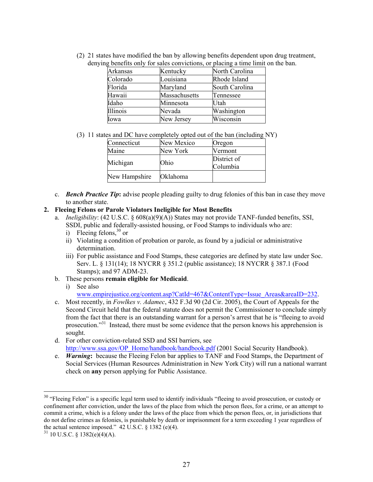| Arkansas | Kentucky      | North Carolina |
|----------|---------------|----------------|
| Colorado | Louisiana     | Rhode Island   |
| Florida  | Maryland      | South Carolina |
| Hawaii   | Massachusetts | Tennessee      |
| Idaho    | Minnesota     | Utah           |
| Illinois | Nevada        | Washington     |
| Iowa     | New Jersey    | Wisconsin      |

(2) 21 states have modified the ban by allowing benefits dependent upon drug treatment, denying benefits only for sales convictions, or placing a time limit on the ban.

(3) 11 states and DC have completely opted out of the ban (including NY)

| Connecticut   | New Mexico | Oregon                  |
|---------------|------------|-------------------------|
| Maine         | New York   | Vermont                 |
| Michigan      | Ohio       | District of<br>Columbia |
| New Hampshire | Oklahoma   |                         |

c. *Bench Practice Tip***:** advise people pleading guilty to drug felonies of this ban in case they move to another state.

#### **2. Fleeing Felons or Parole Violators Ineligible for Most Benefits**

- a. *Ineligibility*: (42 U.S.C. § 608(a)(9)(A)) States may not provide TANF-funded benefits, SSI, SSDI, public and federally-assisted housing, or Food Stamps to individuals who are:
	- i) Fleeing felons,  $30 \text{ or }$
	- ii) Violating a condition of probation or parole, as found by a judicial or administrative determination.
	- iii) For public assistance and Food Stamps, these categories are defined by state law under Soc. Serv. L. § 131(14); 18 NYCRR § 351.2 (public assistance); 18 NYCRR § 387.1 (Food Stamps); and 97 ADM-23.
- b. These persons **remain eligible for Medicaid**.
	- i) See also

www.empirejustice.org/content.asp?CatId=467&ContentType=Issue\_Areas&areaID=232.

- c. Most recently, in *Fowlkes v. Adamec*, 432 F.3d 90 (2d Cir. 2005), the Court of Appeals for the Second Circuit held that the federal statute does not permit the Commissioner to conclude simply from the fact that there is an outstanding warrant for a person's arrest that he is "fleeing to avoid prosecution."31 Instead, there must be some evidence that the person knows his apprehension is sought.
- d. For other conviction-related SSD and SSI barriers, see http://www.ssa.gov/OP\_Home/handbook/handbook.pdf (2001 Social Security Handbook).
- e. *Warning***:** because the Fleeing Felon bar applies to TANF and Food Stamps, the Department of Social Services (Human Resources Administration in New York City) will run a national warrant check on **any** person applying for Public Assistance.

 $\overline{a}$ 

<sup>&</sup>lt;sup>30</sup> "Fleeing Felon" is a specific legal term used to identify individuals "fleeing to avoid prosecution, or custody or confinement after conviction, under the laws of the place from which the person flees, for a crime, or an attempt to commit a crime, which is a felony under the laws of the place from which the person flees, or, in jurisdictions that do not define crimes as felonies, is punishable by death or imprisonment for a term exceeding 1 year regardless of the actual sentence imposed."  $42 \overline{U}$ .S.C. § 1382 (e)(4).

 $31$  10 U.S.C. § 1382(e)(4)(A).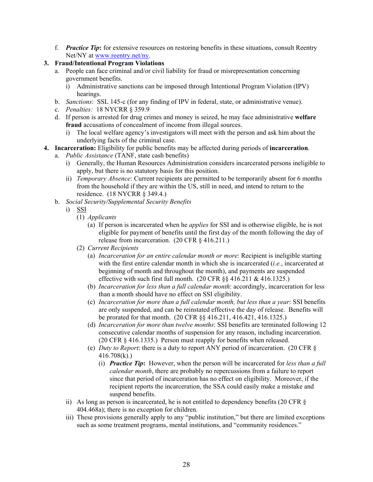f. *Practice Tip***:** for extensive resources on restoring benefits in these situations, consult Reentry Net/NY at www.reentry.net/ny.

#### **3. Fraud/Intentional Program Violations**

- a. People can face criminal and/or civil liability for fraud or misrepresentation concerning government benefits.
	- i) Administrative sanctions can be imposed through Intentional Program Violation (IPV) hearings.
- b. *Sanctions*: SSL 145-c (for any finding of IPV in federal, state, or administrative venue).
- c. *Penalties:* 18 NYCRR § 359.9
- d. If person is arrested for drug crimes and money is seized, he may face administrative **welfare fraud** accusations of concealment of income from illegal sources.
	- i) The local welfare agency's investigators will meet with the person and ask him about the underlying facts of the criminal case.
- **4. Incarceration:** Eligibility for public benefits may be affected during periods of **incarceration**.
	- a. *Public Assistance* (TANF, state cash benefits)
		- i) Generally, the Human Resources Administration considers incarcerated persons ineligible to apply, but there is no statutory basis for this position.
		- ii) *Temporary Absence*: Current recipients are permitted to be temporarily absent for 6 months from the household if they are within the US, still in need, and intend to return to the residence. (18 NYCRR § 349.4.)
		- b. *Social Security/Supplemental Security Benefits*
			- i) SSI
				- (1) *Applicants*
					- (a) If person is incarcerated when he *applies* for SSI and is otherwise eligible, he is not eligible for payment of benefits until the first day of the month following the day of release from incarceration. (20 CFR § 416.211.)
				- (2) *Current Recipients*
					- (a) *Incarceration for an entire calendar month or more*: Recipient is ineligible starting with the first entire calendar month in which she is incarcerated (*i.e.*, incarcerated at beginning of month and throughout the month), and payments are suspended effective with such first full month. (20 CFR §§ 416.211 & 416.1325.)
					- (b) *Incarceration for less than a full calendar month*: accordingly, incarceration for less than a month should have no effect on SSI eligibility.
					- (c) *Incarceration for more than a full calendar month, but less than a year*: SSI benefits are only suspended, and can be reinstated effective the day of release. Benefits will be prorated for that month. (20 CFR §§ 416.211, 416.421, 416.1325.)
					- (d) *Incarceration for more than twelve months*: SSI benefits are terminated following 12 consecutive calendar months of suspension for any reason, including incarceration. (20 CFR § 416.1335.) Person must reapply for benefits when released.
					- (e) *Duty to Report*: there is a duty to report ANY period of incarceration. (20 CFR § 416.708(k).)
						- (i) *Practice Tip***:** However, when the person will be incarcerated for *less than a full calendar month*, there are probably no repercussions from a failure to report since that period of incarceration has no effect on eligibility. Moreover, if the recipient reports the incarceration, the SSA could easily make a mistake and suspend benefits.
			- ii) As long as person is incarcerated, he is not entitled to dependency benefits (20 CFR § 404.468a); there is no exception for children.
			- iii) These provisions generally apply to any "public institution," but there are limited exceptions such as some treatment programs, mental institutions, and "community residences."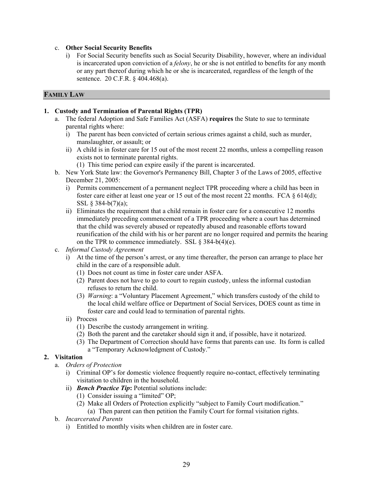#### c. **Other Social Security Benefits**

i) For Social Security benefits such as Social Security Disability, however, where an individual is incarcerated upon conviction of a *felony*, he or she is not entitled to benefits for any month or any part thereof during which he or she is incarcerated, regardless of the length of the sentence. 20 C.F.R. § 404.468(a).

## **FAMILY LAW**

#### **1. Custody and Termination of Parental Rights (TPR)**

- a. The federal Adoption and Safe Families Act (ASFA) **requires** the State to sue to terminate parental rights where:
	- i) The parent has been convicted of certain serious crimes against a child, such as murder, manslaughter, or assault; or
	- ii) A child is in foster care for 15 out of the most recent 22 months, unless a compelling reason exists not to terminate parental rights.
		- (1) This time period can expire easily if the parent is incarcerated.
- b. New York State law: the Governor's Permanency Bill, Chapter 3 of the Laws of 2005, effective December 21, 2005:
	- i) Permits commencement of a permanent neglect TPR proceeding where a child has been in foster care either at least one year or 15 out of the most recent 22 months. FCA  $\S$  614(d); SSL § 384-b(7)(a);
	- ii) Eliminates the requirement that a child remain in foster care for a consecutive 12 months immediately preceding commencement of a TPR proceeding where a court has determined that the child was severely abused or repeatedly abused and reasonable efforts toward reunification of the child with his or her parent are no longer required and permits the hearing on the TPR to commence immediately. SSL § 384-b(4)(e).
- c. *Informal Custody Agreement*
	- i) At the time of the person's arrest, or any time thereafter, the person can arrange to place her child in the care of a responsible adult.
		- (1) Does not count as time in foster care under ASFA.
		- (2) Parent does not have to go to court to regain custody, unless the informal custodian refuses to return the child.
		- (3) *Warning*: a "Voluntary Placement Agreement," which transfers custody of the child to the local child welfare office or Department of Social Services, DOES count as time in foster care and could lead to termination of parental rights.
	- ii) Process
		- (1) Describe the custody arrangement in writing.
		- (2) Both the parent and the caretaker should sign it and, if possible, have it notarized.
		- (3) The Department of Correction should have forms that parents can use. Its form is called a "Temporary Acknowledgment of Custody."

#### **2. Visitation**

- a. *Orders of Protection*
	- i) Criminal OP's for domestic violence frequently require no-contact, effectively terminating visitation to children in the household.
	- ii) *Bench Practice Tip***:** Potential solutions include:
		- (1) Consider issuing a "limited" OP;
		- (2) Make all Orders of Protection explicitly "subject to Family Court modification."
			- (a) Then parent can then petition the Family Court for formal visitation rights.
- b. *Incarcerated Parents*
	- i) Entitled to monthly visits when children are in foster care.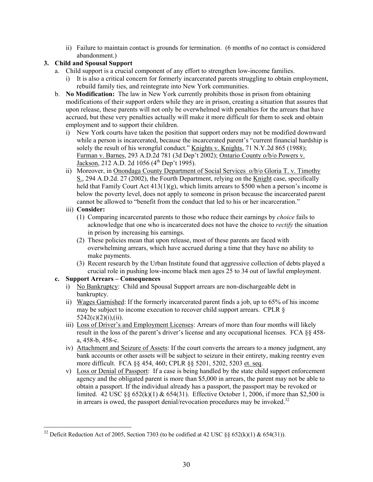ii) Failure to maintain contact is grounds for termination. (6 months of no contact is considered abandonment.)

# **3. Child and Spousal Support**

- a. Child support is a crucial component of any effort to strengthen low-income families.
	- i) It is also a critical concern for formerly incarcerated parents struggling to obtain employment, rebuild family ties, and reintegrate into New York communities.
- b. **No Modification:** The law in New York currently prohibits those in prison from obtaining modifications of their support orders while they are in prison, creating a situation that assures that upon release, these parents will not only be overwhelmed with penalties for the arrears that have accrued, but these very penalties actually will make it more difficult for them to seek and obtain employment and to support their children.
	- i) New York courts have taken the position that support orders may not be modified downward while a person is incarcerated, because the incarcerated parent's "current financial hardship is solely the result of his wrongful conduct." Knights v. Knights, 71 N.Y.2d 865 (1988); Furman v. Barnes, 293 A.D.2d 781 (3d Dep't 2002); Ontario County o/b/o Powers v. Jackson, 212 A.D. 2d 1056  $(4<sup>th</sup>$  Dep't 1995).
	- ii) Moreover, in Onondaga County Department of Social Services o/b/o Gloria T. v. Timothy S., 294 A.D.2d. 27 (2002), the Fourth Department, relying on the Knight case, specifically held that Family Court Act  $413(1)(g)$ , which limits arrears to \$500 when a person's income is below the poverty level, does not apply to someone in prison because the incarcerated parent cannot be allowed to "benefit from the conduct that led to his or her incarceration."

## iii) **Consider:**

 $\overline{a}$ 

- (1) Comparing incarcerated parents to those who reduce their earnings by *choice* fails to acknowledge that one who is incarcerated does not have the choice to *rectify* the situation in prison by increasing his earnings.
- (2) These policies mean that upon release, most of these parents are faced with overwhelming arrears, which have accrued during a time that they have no ability to make payments.
- (3) Recent research by the Urban Institute found that aggressive collection of debts played a crucial role in pushing low-income black men ages 25 to 34 out of lawful employment.

# **c. Support Arrears – Consequences**

- i) No Bankruptcy: Child and Spousal Support arrears are non-dischargeable debt in bankruptcy.
- ii) Wages Garnished: If the formerly incarcerated parent finds a job, up to 65% of his income may be subject to income execution to recover child support arrears. CPLR §  $5242(c)(2)(i)$ , (ii).
- iii) Loss of Driver's and Employment Licenses: Arrears of more than four months will likely result in the loss of the parent's driver's license and any occupational licenses. FCA §§ 458 a, 458-b, 458-c.
- iv) Attachment and Seizure of Assets: If the court converts the arrears to a money judgment, any bank accounts or other assets will be subject to seizure in their entirety, making reentry even more difficult. FCA §§ 454, 460; CPLR §§ 5201, 5202, 5203 et. seq.
- v) Loss or Denial of Passport: If a case is being handled by the state child support enforcement agency and the obligated parent is more than \$5,000 in arrears, the parent may not be able to obtain a passport. If the individual already has a passport, the passport may be revoked or limited. 42 USC §§ 652(k)(1) & 654(31). Effective October 1, 2006, if more than \$2,500 is in arrears is owed, the passport denial/revocation procedures may be invoked. $32$

<sup>&</sup>lt;sup>32</sup> Deficit Reduction Act of 2005, Section 7303 (to be codified at 42 USC  $\S\S 652(k)(1)$  & 654(31)).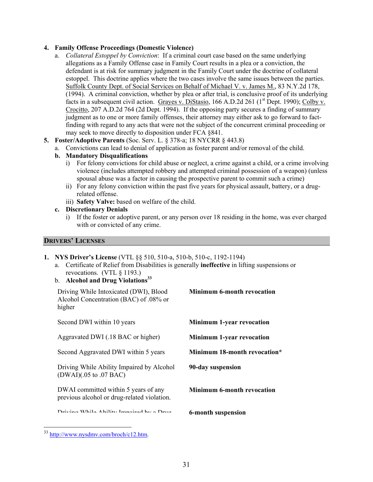#### **4. Family Offense Proceedings (Domestic Violence)**

- a. *Collateral Estoppel by Conviction*: If a criminal court case based on the same underlying allegations as a Family Offense case in Family Court results in a plea or a conviction, the defendant is at risk for summary judgment in the Family Court under the doctrine of collateral estoppel. This doctrine applies where the two cases involve the same issues between the parties. Suffolk County Dept. of Social Services on Behalf of Michael V. v. James M., 83 N.Y.2d 178, (1994). A criminal conviction, whether by plea or after trial, is conclusive proof of its underlying facts in a subsequent civil action. Grayes v. DiStasio, 166 A.D.2d 261 (1<sup>st</sup> Dept. 1990); Colby v. Crocitto, 207 A.D.2d 764 (2d Dept. 1994). If the opposing party secures a finding of summary judgment as to one or more family offenses, their attorney may either ask to go forward to factfinding with regard to any acts that were not the subject of the concurrent criminal proceeding or may seek to move directly to disposition under FCA §841.
- **5. Foster/Adoptive Parents** (Soc. Serv. L. § 378-a; 18 NYCRR § 443.8)
	- a. Convictions can lead to denial of application as foster parent and/or removal of the child.
	- **b. Mandatory Disqualifications** 
		- i) For felony convictions for child abuse or neglect, a crime against a child, or a crime involving violence (includes attempted robbery and attempted criminal possession of a weapon) (unless spousal abuse was a factor in causing the prospective parent to commit such a crime)
		- ii) For any felony conviction within the past five years for physical assault, battery, or a drugrelated offense.
		- iii) **Safety Valve:** based on welfare of the child.

#### **c. Discretionary Denials**

i) If the foster or adoptive parent, or any person over 18 residing in the home, was ever charged with or convicted of any crime.

#### **DRIVERS' LICENSES**

#### **1. NYS Driver's License** (VTL §§ 510, 510-a, 510-b, 510-c, 1192-1194)

a. Certificate of Relief from Disabilities is generally **ineffective** in lifting suspensions or revocations. (VTL § 1193.)

#### b. **Alcohol and Drug Violations33**

| Driving While Intoxicated (DWI), Blood<br>Alcohol Concentration (BAC) of .08% or<br>higher | <b>Minimum 6-month revocation</b> |
|--------------------------------------------------------------------------------------------|-----------------------------------|
| Second DWI within 10 years                                                                 | <b>Minimum 1-year revocation</b>  |
| Aggravated DWI (.18 BAC or higher)                                                         | <b>Minimum 1-year revocation</b>  |
| Second Aggravated DWI within 5 years                                                       | Minimum 18-month revocation*      |
| Driving While Ability Impaired by Alcohol<br>$(DWAI)(.05$ to $.07$ BAC)                    | 90-day suspension                 |
| DWAI committed within 5 years of any<br>previous alcohol or drug-related violation.        | <b>Minimum 6-month revocation</b> |
| Driving While Ability Impoired by a Drug                                                   | 6-month suspension                |

<sup>33</sup> http://www.nysdmv.com/broch/c12.htm.

 $\overline{a}$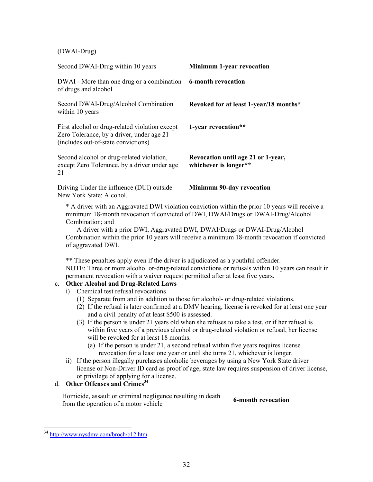(DWAI-Drug)

| Second DWAI-Drug within 10 years                                                                                                                                                                                                                                                                                                                                                                                                                                                                                                                                                                                                                                                                                                                                                                                                                                                                                                                                                                                                                                                                                                                                                                                                                                                                                                                                                                                                                                                                                                                                                                                                                                                                                                                                  | Minimum 1-year revocation                                   |  |
|-------------------------------------------------------------------------------------------------------------------------------------------------------------------------------------------------------------------------------------------------------------------------------------------------------------------------------------------------------------------------------------------------------------------------------------------------------------------------------------------------------------------------------------------------------------------------------------------------------------------------------------------------------------------------------------------------------------------------------------------------------------------------------------------------------------------------------------------------------------------------------------------------------------------------------------------------------------------------------------------------------------------------------------------------------------------------------------------------------------------------------------------------------------------------------------------------------------------------------------------------------------------------------------------------------------------------------------------------------------------------------------------------------------------------------------------------------------------------------------------------------------------------------------------------------------------------------------------------------------------------------------------------------------------------------------------------------------------------------------------------------------------|-------------------------------------------------------------|--|
| DWAI - More than one drug or a combination<br>of drugs and alcohol                                                                                                                                                                                                                                                                                                                                                                                                                                                                                                                                                                                                                                                                                                                                                                                                                                                                                                                                                                                                                                                                                                                                                                                                                                                                                                                                                                                                                                                                                                                                                                                                                                                                                                | <b>6-month revocation</b>                                   |  |
| Second DWAI-Drug/Alcohol Combination<br>within 10 years                                                                                                                                                                                                                                                                                                                                                                                                                                                                                                                                                                                                                                                                                                                                                                                                                                                                                                                                                                                                                                                                                                                                                                                                                                                                                                                                                                                                                                                                                                                                                                                                                                                                                                           | Revoked for at least 1-year/18 months*                      |  |
| First alcohol or drug-related violation except<br>Zero Tolerance, by a driver, under age 21<br>(includes out-of-state convictions)                                                                                                                                                                                                                                                                                                                                                                                                                                                                                                                                                                                                                                                                                                                                                                                                                                                                                                                                                                                                                                                                                                                                                                                                                                                                                                                                                                                                                                                                                                                                                                                                                                | 1-year revocation**                                         |  |
| Second alcohol or drug-related violation,<br>except Zero Tolerance, by a driver under age<br>21                                                                                                                                                                                                                                                                                                                                                                                                                                                                                                                                                                                                                                                                                                                                                                                                                                                                                                                                                                                                                                                                                                                                                                                                                                                                                                                                                                                                                                                                                                                                                                                                                                                                   | Revocation until age 21 or 1-year,<br>whichever is longer** |  |
| Driving Under the influence (DUI) outside<br>New York State: Alcohol.                                                                                                                                                                                                                                                                                                                                                                                                                                                                                                                                                                                                                                                                                                                                                                                                                                                                                                                                                                                                                                                                                                                                                                                                                                                                                                                                                                                                                                                                                                                                                                                                                                                                                             | <b>Minimum 90-day revocation</b>                            |  |
| * A driver with an Aggravated DWI violation conviction within the prior 10 years will receive a<br>minimum 18-month revocation if convicted of DWI, DWAI/Drugs or DWAI-Drug/Alcohol<br>Combination; and<br>A driver with a prior DWI, Aggravated DWI, DWAI/Drugs or DWAI-Drug/Alcohol<br>Combination within the prior 10 years will receive a minimum 18-month revocation if convicted<br>of aggravated DWI.<br>** These penalties apply even if the driver is adjudicated as a youthful offender.<br>NOTE: Three or more alcohol or-drug-related convictions or refusals within 10 years can result in<br>permanent revocation with a waiver request permitted after at least five years.<br><b>Other Alcohol and Drug-Related Laws</b><br>$\mathbf{c}$ .<br>Chemical test refusal revocations<br>i)<br>(1) Separate from and in addition to those for alcohol- or drug-related violations.<br>(2) If the refusal is later confirmed at a DMV hearing, license is revoked for at least one year<br>and a civil penalty of at least \$500 is assessed.<br>(3) If the person is under 21 years old when she refuses to take a test, or if her refusal is<br>within five years of a previous alcohol or drug-related violation or refusal, her license<br>will be revoked for at least 18 months.<br>(a) If the person is under 21, a second refusal within five years requires license<br>revocation for a least one year or until she turns 21, whichever is longer.<br>ii) If the person illegally purchases alcoholic beverages by using a New York State driver<br>license or Non-Driver ID card as proof of age, state law requires suspension of driver license,<br>or privilege of applying for a license.<br>Other Offenses and Crimes <sup>34</sup><br>d. |                                                             |  |
| Homicide, assault or criminal negligence resulting in death<br>from the operation of a motor vehicle                                                                                                                                                                                                                                                                                                                                                                                                                                                                                                                                                                                                                                                                                                                                                                                                                                                                                                                                                                                                                                                                                                                                                                                                                                                                                                                                                                                                                                                                                                                                                                                                                                                              | <b>6-month revocation</b>                                   |  |

 $\overline{a}$ <sup>34</sup> http://www.nysdmv.com/broch/c12.htm.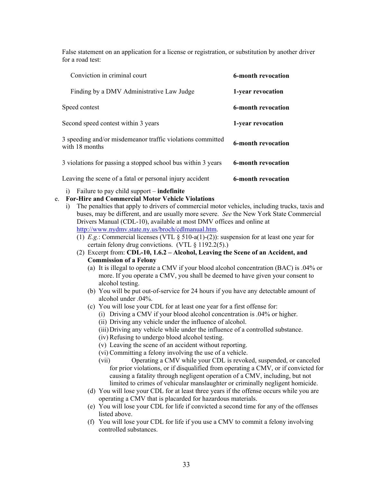False statement on an application for a license or registration, or substitution by another driver for a road test:

| Conviction in criminal court                                                 | 6-month revocation        |
|------------------------------------------------------------------------------|---------------------------|
| Finding by a DMV Administrative Law Judge                                    | 1-year revocation         |
| Speed contest                                                                | <b>6-month revocation</b> |
| Second speed contest within 3 years                                          | 1-year revocation         |
| 3 speeding and/or misdemeanor traffic violations committed<br>with 18 months | <b>6-month revocation</b> |
| 3 violations for passing a stopped school bus within 3 years                 | <b>6-month revocation</b> |
| Leaving the scene of a fatal or personal injury accident                     | <b>6-month revocation</b> |

i) Failure to pay child support – **indefinite**

#### e. **For-Hire and Commercial Motor Vehicle Violations**

- i) The penalties that apply to drivers of commercial motor vehicles, including trucks, taxis and buses, may be different, and are usually more severe. *See* the New York State Commercial Drivers Manual (CDL-10), available at most DMV offices and online at http://www.nydmv.state.ny.us/broch/cdlmanual.htm.
	- (1) *E.g.*: Commercial licenses (VTL  $\S$  510-a(1)-(2)): suspension for at least one year for certain felony drug convictions. (VTL § 1192.2(5).)
	- (2) Excerpt from: **CDL-10, 1.6.2 Alcohol, Leaving the Scene of an Accident, and Commission of a Felony**
		- (a) It is illegal to operate a CMV if your blood alcohol concentration (BAC) is .04% or more. If you operate a CMV, you shall be deemed to have given your consent to alcohol testing.
		- (b) You will be put out-of-service for 24 hours if you have any detectable amount of alcohol under .04%.
		- (c) You will lose your CDL for at least one year for a first offense for:
			- (i) Driving a CMV if your blood alcohol concentration is .04% or higher.
			- (ii) Driving any vehicle under the influence of alcohol.
			- (iii) Driving any vehicle while under the influence of a controlled substance.
			- (iv) Refusing to undergo blood alcohol testing.
			- (v) Leaving the scene of an accident without reporting.
			- (vi) Committing a felony involving the use of a vehicle.
			- (vii) Operating a CMV while your CDL is revoked, suspended, or canceled for prior violations, or if disqualified from operating a CMV, or if convicted for causing a fatality through negligent operation of a CMV, including, but not limited to crimes of vehicular manslaughter or criminally negligent homicide.
		- (d) You will lose your CDL for at least three years if the offense occurs while you are operating a CMV that is placarded for hazardous materials.
		- (e) You will lose your CDL for life if convicted a second time for any of the offenses listed above.
		- (f) You will lose your CDL for life if you use a CMV to commit a felony involving controlled substances.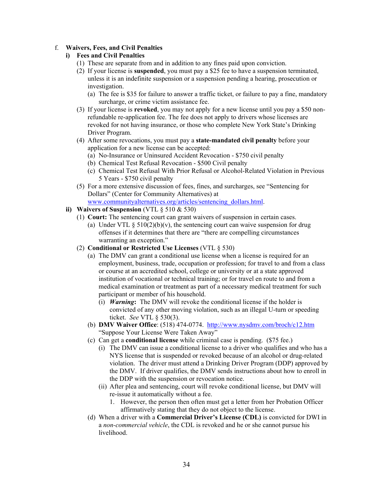#### f. **Waivers, Fees, and Civil Penalties**

#### **i) Fees and Civil Penalties**

- (1) These are separate from and in addition to any fines paid upon conviction.
- (2) If your license is **suspended**, you must pay a \$25 fee to have a suspension terminated, unless it is an indefinite suspension or a suspension pending a hearing, prosecution or investigation.
	- (a) The fee is \$35 for failure to answer a traffic ticket, or failure to pay a fine, mandatory surcharge, or crime victim assistance fee.
- (3) If your license is **revoked**, you may not apply for a new license until you pay a \$50 nonrefundable re-application fee. The fee does not apply to drivers whose licenses are revoked for not having insurance, or those who complete New York State's Drinking Driver Program.
- (4) After some revocations, you must pay a **state-mandated civil penalty** before your application for a new license can be accepted:
	- (a) No-Insurance or Uninsured Accident Revocation \$750 civil penalty
	- (b) Chemical Test Refusal Revocation \$500 Civil penalty
	- (c) Chemical Test Refusal With Prior Refusal or Alcohol-Related Violation in Previous 5 Years - \$750 civil penalty
- (5) For a more extensive discussion of fees, fines, and surcharges, see "Sentencing for Dollars" (Center for Community Alternatives) at www.communityalternatives.org/articles/sentencing\_dollars.html.
- **ii) Waivers of Suspension** (VTL § 510 & 530)
	- (1) **Court:** The sentencing court can grant waivers of suspension in certain cases.
		- (a) Under VTL  $\S$  510(2)(b)(v), the sentencing court can waive suspension for drug offenses if it determines that there are "there are compelling circumstances warranting an exception."
	- (2) **Conditional or Restricted Use Licenses** (VTL § 530)
		- (a) The DMV can grant a conditional use license when a license is required for an employment, business, trade, occupation or profession; for travel to and from a class or course at an accredited school, college or university or at a state approved institution of vocational or technical training; or for travel en route to and from a medical examination or treatment as part of a necessary medical treatment for such participant or member of his household.
			- (i) *Warning***:** The DMV will revoke the conditional license if the holder is convicted of any other moving violation, such as an illegal U-turn or speeding ticket. *See* VTL § 530(3).
		- (b) **DMV Waiver Office**: (518) 474-0774. http://www.nysdmv.com/broch/c12.htm "Suppose Your License Were Taken Away"
		- (c) Can get a **conditional license** while criminal case is pending. (\$75 fee.)
			- (i) The DMV can issue a conditional license to a driver who qualifies and who has a NYS license that is suspended or revoked because of an alcohol or drug-related violation. The driver must attend a Drinking Driver Program (DDP) approved by the DMV. If driver qualifies, the DMV sends instructions about how to enroll in the DDP with the suspension or revocation notice.
			- (ii) After plea and sentencing, court will revoke conditional license, but DMV will re-issue it automatically without a fee.
				- 1. However, the person then often must get a letter from her Probation Officer affirmatively stating that they do not object to the license.
		- (d) When a driver with a **Commercial Driver's License (CDL)** is convicted for DWI in a *non-commercial vehicle*, the CDL is revoked and he or she cannot pursue his livelihood.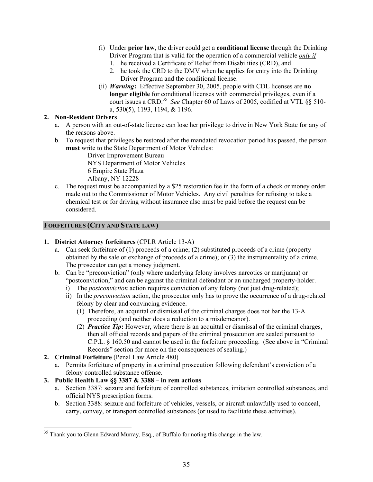- (i) Under **prior law**, the driver could get a **conditional license** through the Drinking Driver Program that is valid for the operation of a commercial vehicle *only if*
	- 1. he received a Certificate of Relief from Disabilities (CRD), and
	- 2. he took the CRD to the DMV when he applies for entry into the Drinking Driver Program and the conditional license.
- (ii) *Warning***:** Effective September 30, 2005, people with CDL licenses are **no longer eligible** for conditional licenses with commercial privileges, even if a court issues a CRD.35 *See* Chapter 60 of Laws of 2005, codified at VTL §§ 510 a, 530(5), 1193, 1194, & 1196.

#### **2. Non-Resident Drivers**

- a. A person with an out-of-state license can lose her privilege to drive in New York State for any of the reasons above.
- b. To request that privileges be restored after the mandated revocation period has passed, the person **must** write to the State Department of Motor Vehicles:

Driver Improvement Bureau NYS Department of Motor Vehicles 6 Empire State Plaza Albany, NY 12228

c. The request must be accompanied by a \$25 restoration fee in the form of a check or money order made out to the Commissioner of Motor Vehicles. Any civil penalties for refusing to take a chemical test or for driving without insurance also must be paid before the request can be considered.

#### **FORFEITURES (CITY AND STATE LAW)**

#### **1. District Attorney forfeitures** (CPLR Article 13-A)

- a. Can seek forfeiture of (1) proceeds of a crime; (2) substituted proceeds of a crime (property obtained by the sale or exchange of proceeds of a crime); or (3) the instrumentality of a crime. The prosecutor can get a money judgment.
- b. Can be "preconviction" (only where underlying felony involves narcotics or marijuana) or "postconviction," and can be against the criminal defendant or an uncharged property-holder.
	- i) The *postconviction* action requires conviction of any felony (not just drug-related);
	- ii) In the *preconviction* action, the prosecutor only has to prove the occurrence of a drug-related felony by clear and convincing evidence.
		- (1) Therefore, an acquittal or dismissal of the criminal charges does not bar the 13-A proceeding (and neither does a reduction to a misdemeanor).
		- (2) *Practice Tip***:** However, where there is an acquittal or dismissal of the criminal charges, then all official records and papers of the criminal prosecution are sealed pursuant to C.P.L. § 160.50 and cannot be used in the forfeiture proceeding. (See above in "Criminal Records" section for more on the consequences of sealing.)
- **2. Criminal Forfeiture** (Penal Law Article 480)

 $\overline{a}$ 

a. Permits forfeiture of property in a criminal prosecution following defendant's conviction of a felony controlled substance offense.

#### **3. Public Health Law §§ 3387 & 3388 – in rem actions**

- a. Section 3387: seizure and forfeiture of controlled substances, imitation controlled substances, and official NYS prescription forms.
- b. Section 3388: seizure and forfeiture of vehicles, vessels, or aircraft unlawfully used to conceal, carry, convey, or transport controlled substances (or used to facilitate these activities).

 $35$  Thank you to Glenn Edward Murray, Esq., of Buffalo for noting this change in the law.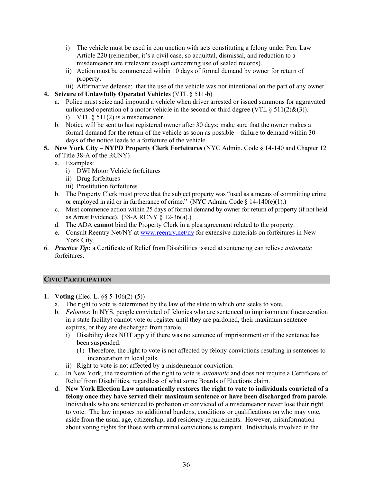- i) The vehicle must be used in conjunction with acts constituting a felony under Pen. Law Article 220 (remember, it's a civil case, so acquittal, dismissal, and reduction to a misdemeanor are irrelevant except concerning use of sealed records).
- ii) Action must be commenced within 10 days of formal demand by owner for return of property.
- iii) Affirmative defense: that the use of the vehicle was not intentional on the part of any owner.
- **4. Seizure of Unlawfully Operated Vehicles** (VTL § 511-b)
	- a. Police must seize and impound a vehicle when driver arrested or issued summons for aggravated unlicensed operation of a motor vehicle in the second or third degree (VTL  $\S 511(2)\&(3)$ ). i) VTL  $\S$  511(2) is a misdemeanor.
	- b. Notice will be sent to last registered owner after 30 days; make sure that the owner makes a formal demand for the return of the vehicle as soon as possible – failure to demand within 30 days of the notice leads to a forfeiture of the vehicle.
- **5. New York City NYPD Property Clerk Forfeitures** (NYC Admin. Code § 14-140 and Chapter 12 of Title 38-A of the RCNY)
	- a. Examples:
		- i) DWI Motor Vehicle forfeitures
		- ii) Drug forfeitures
		- iii) Prostitution forfeitures
	- b. The Property Clerk must prove that the subject property was "used as a means of committing crime or employed in aid or in furtherance of crime." (NYC Admin. Code § 14-140(e)(1).)
	- c. Must commence action within 25 days of formal demand by owner for return of property (if not held as Arrest Evidence). (38-A RCNY § 12-36(a).)
	- d. The ADA **cannot** bind the Property Clerk in a plea agreement related to the property.
	- e. Consult Reentry Net/NY at www.reentry.net/ny for extensive materials on forfeitures in New York City.
- 6. *Practice Tip***:** a Certificate of Relief from Disabilities issued at sentencing can relieve *automatic* forfeitures.

#### **CIVIC PARTICIPATION**

- **1. Voting** (Elec. L. §§ 5-106(2)-(5))
	- a. The right to vote is determined by the law of the state in which one seeks to vote.
	- b. *Felonies*: In NYS, people convicted of felonies who are sentenced to imprisonment (incarceration in a state facility) cannot vote or register until they are pardoned, their maximum sentence expires, or they are discharged from parole.
		- i) Disability does NOT apply if there was no sentence of imprisonment or if the sentence has been suspended.
			- (1) Therefore, the right to vote is not affected by felony convictions resulting in sentences to incarceration in local jails.
		- ii) Right to vote is not affected by a misdemeanor conviction.
	- c. In New York, the restoration of the right to vote is *automatic* and does not require a Certificate of Relief from Disabilities, regardless of what some Boards of Elections claim.
	- d. **New York Election Law automatically restores the right to vote to individuals convicted of a felony once they have served their maximum sentence or have been discharged from parole.** Individuals who are sentenced to probation or convicted of a misdemeanor never lose their right to vote. The law imposes no additional burdens, conditions or qualifications on who may vote, aside from the usual age, citizenship, and residency requirements. However, misinformation about voting rights for those with criminal convictions is rampant. Individuals involved in the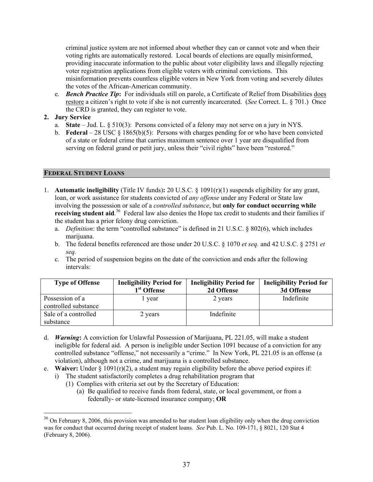criminal justice system are not informed about whether they can or cannot vote and when their voting rights are automatically restored. Local boards of elections are equally misinformed, providing inaccurate information to the public about voter eligibility laws and illegally rejecting voter registration applications from eligible voters with criminal convictions. This misinformation prevents countless eligible voters in New York from voting and severely dilutes the votes of the African-American community.

e. *Bench Practice Tip***:** For individuals still on parole, a Certificate of Relief from Disabilities does restore a citizen's right to vote if she is not currently incarcerated. (*See* Correct. L. § 701.) Once the CRD is granted, they can register to vote.

#### **2. Jury Service**

 $\overline{a}$ 

- a. **State** Jud. L. § 510(3): Persons convicted of a felony may not serve on a jury in NYS.
- b. **Federal** 28 USC § 1865(b)(5): Persons with charges pending for or who have been convicted of a state or federal crime that carries maximum sentence over 1 year are disqualified from serving on federal grand or petit jury, unless their "civil rights" have been "restored."

#### **FEDERAL STUDENT LOANS**

- 1. **Automatic ineligibility** (Title IV funds)**:** 20 U.S.C. § 1091(r)(1) suspends eligibility for any grant, loan, or work assistance for students convicted of *any offense* under any Federal or State law involving the possession or sale of a *controlled substance*, but **only for conduct occurring while**  receiving student aid.<sup>36</sup> Federal law also denies the Hope tax credit to students and their families if the student has a prior felony drug conviction.
	- a. *Definition*: the term "controlled substance" is defined in 21 U.S.C. § 802(6), which includes marijuana.
	- b. The federal benefits referenced are those under 20 U.S.C. § 1070 *et seq.* and 42 U.S.C. § 2751 *et seq.*
	- c. The period of suspension begins on the date of the conviction and ends after the following intervals:

| <b>Type of Offense</b>                  | <b>Ineligibility Period for</b><br>1 <sup>st</sup> Offense | <b>Ineligibility Period for</b><br>2d Offense | <b>Ineligibility Period for</b><br>3d Offense |
|-----------------------------------------|------------------------------------------------------------|-----------------------------------------------|-----------------------------------------------|
| Possession of a<br>controlled substance | year                                                       | 2 years                                       | Indefinite                                    |
| Sale of a controlled<br>substance       | 2 years                                                    | Indefinite                                    |                                               |

- d. *Warning***:** A conviction for Unlawful Possession of Marijuana, PL 221.05, will make a student ineligible for federal aid. A person is ineligible under Section 1091 because of a conviction for any controlled substance "offense," not necessarily a "crime." In New York, PL 221.05 is an offense (a violation), although not a crime, and marijuana is a controlled substance.
- e. **Waiver:** Under § 1091(r)(2), a student may regain eligibility before the above period expires if:
	- i) The student satisfactorily completes a drug rehabilitation program that
		- (1) Complies with criteria set out by the Secretary of Education:
			- (a) Be qualified to receive funds from federal, state, or local government, or from a federally- or state-licensed insurance company; **OR**

<sup>&</sup>lt;sup>36</sup> On February 8, 2006, this provision was amended to bar student loan eligibility only when the drug conviction was for conduct that occurred during receipt of student loans. *See* Pub. L. No. 109-171, § 8021, 120 Stat 4 (February 8, 2006).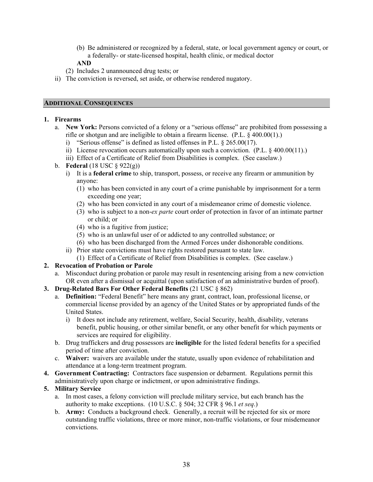(b) Be administered or recognized by a federal, state, or local government agency or court, or a federally- or state-licensed hospital, health clinic, or medical doctor

# **AND**

- (2) Includes 2 unannounced drug tests; or
- ii) The conviction is reversed, set aside, or otherwise rendered nugatory.

#### **ADDITIONAL CONSEQUENCES**

#### **1. Firearms**

- a. **New York:** Persons convicted of a felony or a "serious offense" are prohibited from possessing a rifle or shotgun and are ineligible to obtain a firearm license. (P.L. § 400.00(1).)
	- i) "Serious offense" is defined as listed offenses in P.L. § 265.00(17).
	- ii) License revocation occurs automatically upon such a conviction. (P.L. § 400.00(11).)
	- iii) Effect of a Certificate of Relief from Disabilities is complex. (See caselaw.)
- b. **Federal** (18 USC § 922(g))
	- i) It is a **federal crime** to ship, transport, possess, or receive any firearm or ammunition by anyone:
		- (1) who has been convicted in any court of a crime punishable by imprisonment for a term exceeding one year;
		- (2) who has been convicted in any court of a misdemeanor crime of domestic violence.
		- (3) who is subject to a non-*ex parte* court order of protection in favor of an intimate partner or child; or
		- (4) who is a fugitive from justice;
		- (5) who is an unlawful user of or addicted to any controlled substance; or
		- (6) who has been discharged from the Armed Forces under dishonorable conditions.
	- ii) Prior state convictions must have rights restored pursuant to state law.
	- (1) Effect of a Certificate of Relief from Disabilities is complex. (See caselaw.)

#### **2. Revocation of Probation or Parole**

- a. Misconduct during probation or parole may result in resentencing arising from a new conviction OR even after a dismissal or acquittal (upon satisfaction of an administrative burden of proof).
- **3. Drug-Related Bars For Other Federal Benefits** (21 USC § 862)
	- a. **Definition:** "Federal Benefit" here means any grant, contract, loan, professional license, or commercial license provided by an agency of the United States or by appropriated funds of the United States.
		- i) It does not include any retirement, welfare, Social Security, health, disability, veterans benefit, public housing, or other similar benefit, or any other benefit for which payments or services are required for eligibility.
	- b. Drug traffickers and drug possessors are **ineligible** for the listed federal benefits for a specified period of time after conviction.
	- c. **Waiver:** waivers are available under the statute, usually upon evidence of rehabilitation and attendance at a long-term treatment program.
- **4. Government Contracting:** Contractors face suspension or debarment. Regulations permit this administratively upon charge or indictment, or upon administrative findings.
- **5. Military Service** 
	- a. In most cases, a felony conviction will preclude military service, but each branch has the authority to make exceptions. (10 U.S.C. § 504; 32 CFR § 96.1 *et seq*.)
	- b. **Army:** Conducts a background check. Generally, a recruit will be rejected for six or more outstanding traffic violations, three or more minor, non-traffic violations, or four misdemeanor convictions.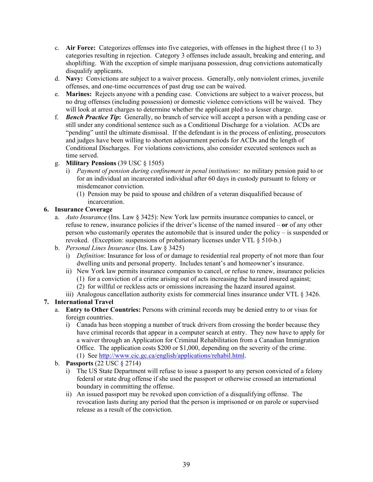- c. **Air Force:** Categorizes offenses into five categories, with offenses in the highest three (1 to 3) categories resulting in rejection. Category 3 offenses include assault, breaking and entering, and shoplifting. With the exception of simple marijuana possession, drug convictions automatically disqualify applicants.
- d. **Navy:** Convictions are subject to a waiver process. Generally, only nonviolent crimes, juvenile offenses, and one-time occurrences of past drug use can be waived.
- e. **Marines:** Rejects anyone with a pending case. Convictions are subject to a waiver process, but no drug offenses (including possession) or domestic violence convictions will be waived. They will look at arrest charges to determine whether the applicant pled to a lesser charge.
- f. *Bench Practice Tip***:** Generally, no branch of service will accept a person with a pending case or still under any conditional sentence such as a Conditional Discharge for a violation. ACDs are "pending" until the ultimate dismissal. If the defendant is in the process of enlisting, prosecutors and judges have been willing to shorten adjournment periods for ACDs and the length of Conditional Discharges. For violations convictions, also consider executed sentences such as time served.
- g. **Military Pensions** (39 USC § 1505)
	- i) *Payment of pension during confinement in penal institutions*: no military pension paid to or for an individual an incarcerated individual after 60 days in custody pursuant to felony or misdemeanor conviction.
		- (1) Pension may be paid to spouse and children of a veteran disqualified because of incarceration.

## **6. Insurance Coverage**

- a. *Auto Insurance* (Ins. Law § 3425): New York law permits insurance companies to cancel, or refuse to renew, insurance policies if the driver's license of the named insured – **or** of any other person who customarily operates the automobile that is insured under the policy – is suspended or revoked. (Exception: suspensions of probationary licenses under VTL § 510-b.)
- b. *Personal Lines Insurance* (Ins. Law § 3425)
	- i) *Definition*: Insurance for loss of or damage to residential real property of not more than four dwelling units and personal property. Includes tenant's and homeowner's insurance.
	- ii) New York law permits insurance companies to cancel, or refuse to renew, insurance policies (1) for a conviction of a crime arising out of acts increasing the hazard insured against;
		- (2) for willful or reckless acts or omissions increasing the hazard insured against.
	- iii) Analogous cancellation authority exists for commercial lines insurance under VTL § 3426.

# **7. International Travel**

- a. **Entry to Other Countries:** Persons with criminal records may be denied entry to or visas for foreign countries.
	- i) Canada has been stopping a number of truck drivers from crossing the border because they have criminal records that appear in a computer search at entry. They now have to apply for a waiver through an Application for Criminal Rehabilitation from a Canadian Immigration Office. The application costs \$200 or \$1,000, depending on the severity of the crime. (1) See http://www.cic.gc.ca/english/applications/rehabil.html.
- b. **Passports** (22 USC § 2714)
	- i) The US State Department will refuse to issue a passport to any person convicted of a felony federal or state drug offense if she used the passport or otherwise crossed an international boundary in committing the offense.
	- ii) An issued passport may be revoked upon conviction of a disqualifying offense. The revocation lasts during any period that the person is imprisoned or on parole or supervised release as a result of the conviction.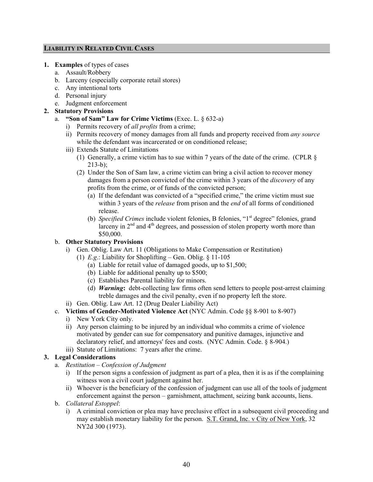#### **LIABILITY IN RELATED CIVIL CASES**

- **1. Examples** of types of cases
	- a. Assault/Robbery
	- b. Larceny (especially corporate retail stores)
	- c. Any intentional torts
	- d. Personal injury
	- e. Judgment enforcement

## **2. Statutory Provisions**

- a. **"Son of Sam" Law for Crime Victims** (Exec. L. § 632-a)
	- i) Permits recovery of *all profits* from a crime;
	- ii) Permits recovery of money damages from all funds and property received from *any source* while the defendant was incarcerated or on conditioned release;
	- iii) Extends Statute of Limitations
		- (1) Generally, a crime victim has to sue within 7 years of the date of the crime. (CPLR § 213-b);
		- (2) Under the Son of Sam law, a crime victim can bring a civil action to recover money damages from a person convicted of the crime within 3 years of the *discovery* of any profits from the crime, or of funds of the convicted person;
			- (a) If the defendant was convicted of a "specified crime," the crime victim must sue within 3 years of the *release* from prison and the *end* of all forms of conditioned release.
			- (b) *Specified Crimes* include violent felonies, B felonies, "1<sup>st</sup> degree" felonies, grand larceny in  $2<sup>nd</sup>$  and  $4<sup>th</sup>$  degrees, and possession of stolen property worth more than \$50,000.

# b. **Other Statutory Provisions**

- i) Gen. Oblig. Law Art. 11 (Obligations to Make Compensation or Restitution)
	- (1) *E.g*.: Liability for Shoplifting Gen. Oblig. § 11-105
		- (a) Liable for retail value of damaged goods, up to \$1,500;
		- (b) Liable for additional penalty up to \$500;
		- (c) Establishes Parental liability for minors.
		- (d) *Warning***:** debt-collecting law firms often send letters to people post-arrest claiming treble damages and the civil penalty, even if no property left the store.
- ii) Gen. Oblig. Law Art. 12 (Drug Dealer Liability Act)
- c. **Victims of Gender-Motivated Violence Act** (NYC Admin. Code §§ 8-901 to 8-907)
	- i) New York City only.
	- ii) Any person claiming to be injured by an individual who commits a crime of violence motivated by gender can sue for compensatory and punitive damages, injunctive and declaratory relief, and attorneys' fees and costs. (NYC Admin. Code. § 8-904.)
	- iii) Statute of Limitations: 7 years after the crime.

# **3. Legal Considerations**

- a. *Restitution Confession of Judgment*
	- i) If the person signs a confession of judgment as part of a plea, then it is as if the complaining witness won a civil court judgment against her.
	- ii) Whoever is the beneficiary of the confession of judgment can use all of the tools of judgment enforcement against the person – garnishment, attachment, seizing bank accounts, liens.
- b. *Collateral Estoppel*:
	- i) A criminal conviction or plea may have preclusive effect in a subsequent civil proceeding and may establish monetary liability for the person. S.T. Grand, Inc. v City of New York, 32 NY2d 300 (1973).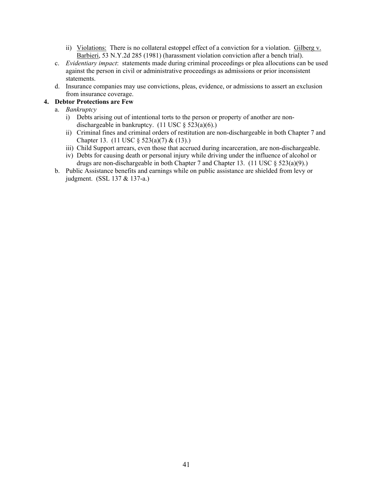- ii) Violations: There is no collateral estoppel effect of a conviction for a violation. Gilberg v. Barbieri, 53 N.Y.2d 285 (1981) (harassment violation conviction after a bench trial).
- c. *Evidentiary impact*: statements made during criminal proceedings or plea allocutions can be used against the person in civil or administrative proceedings as admissions or prior inconsistent statements.
- d. Insurance companies may use convictions, pleas, evidence, or admissions to assert an exclusion from insurance coverage.

## **4. Debtor Protections are Few**

- a. *Bankruptcy*
	- i) Debts arising out of intentional torts to the person or property of another are nondischargeable in bankruptcy.  $(11 \text{ USC} \text{ } \text{\&} 523(a)(6))$ .
	- ii) Criminal fines and criminal orders of restitution are non-dischargeable in both Chapter 7 and Chapter 13. (11 USC § 523(a)(7) & (13).)
	- iii) Child Support arrears, even those that accrued during incarceration, are non-dischargeable.
	- iv) Debts for causing death or personal injury while driving under the influence of alcohol or drugs are non-dischargeable in both Chapter 7 and Chapter 13. (11 USC § 523(a)(9).)
- b. Public Assistance benefits and earnings while on public assistance are shielded from levy or judgment. (SSL 137 & 137-a.)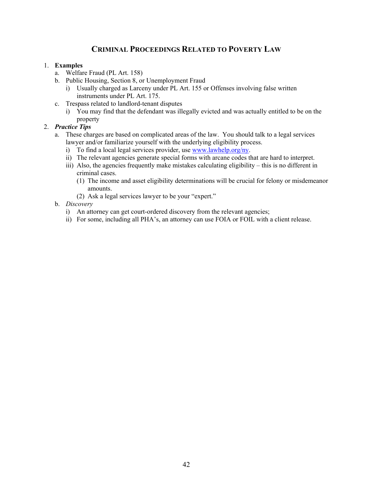# **CRIMINAL PROCEEDINGS RELATED TO POVERTY LAW**

#### 1. **Examples**

- a. Welfare Fraud (PL Art. 158)
- b. Public Housing, Section 8, or Unemployment Fraud
	- i) Usually charged as Larceny under PL Art. 155 or Offenses involving false written instruments under PL Art. 175.
- c. Trespass related to landlord-tenant disputes
	- i) You may find that the defendant was illegally evicted and was actually entitled to be on the property

## 2. *Practice Tips*

- a. These charges are based on complicated areas of the law. You should talk to a legal services lawyer and/or familiarize yourself with the underlying eligibility process.
	- i) To find a local legal services provider, use www.lawhelp.org/ny.
	- ii) The relevant agencies generate special forms with arcane codes that are hard to interpret.
	- iii) Also, the agencies frequently make mistakes calculating eligibility this is no different in criminal cases.
		- (1) The income and asset eligibility determinations will be crucial for felony or misdemeanor amounts.
		- (2) Ask a legal services lawyer to be your "expert."
- b. *Discovery*
	- i) An attorney can get court-ordered discovery from the relevant agencies;
	- ii) For some, including all PHA's, an attorney can use FOIA or FOIL with a client release.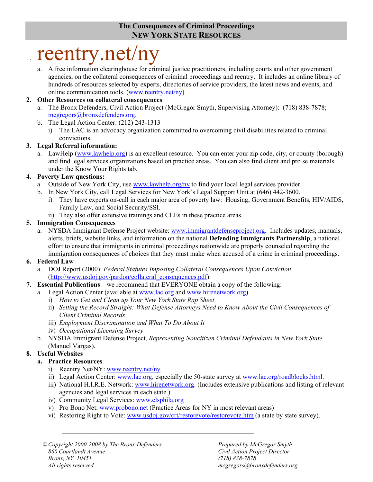# **The Consequences of Criminal Proceedings NEW YORK STATE RESOURCES**

# 1. reentry.net/ny

a. A free information clearinghouse for criminal justice practitioners, including courts and other government agencies, on the collateral consequences of criminal proceedings and reentry. It includes an online library of hundreds of resources selected by experts, directories of service providers, the latest news and events, and online communication tools. (www.reentry.net/ny)

# **2. Other Resources on collateral consequences**

- a. The Bronx Defenders, Civil Action Project (McGregor Smyth, Supervising Attorney): (718) 838-7878; mcgregors@bronxdefenders.org.
- b. The Legal Action Center: (212) 243-1313
	- i) The LAC is an advocacy organization committed to overcoming civil disabilities related to criminal convictions.

# **3. Legal Referral information:**

a. LawHelp (www.lawhelp.org) is an excellent resource. You can enter your zip code, city, or county (borough) and find legal services organizations based on practice areas. You can also find client and pro se materials under the Know Your Rights tab.

# **4. Poverty Law questions:**

- a. Outside of New York City, use www.lawhelp.org/ny to find your local legal services provider.
- b. In New York City, call Legal Services for New York's Legal Support Unit at (646) 442-3600.
	- i) They have experts on-call in each major area of poverty law: Housing, Government Benefits, HIV/AIDS, Family Law, and Social Security/SSI.
	- ii) They also offer extensive trainings and CLEs in these practice areas.

# **5. Immigration Consequences**

a. NYSDA Immigrant Defense Project website: www.immigrantdefenseproject.org. Includes updates, manuals, alerts, briefs, website links, and information on the national **Defending Immigrants Partnership**, a national effort to ensure that immigrants in criminal proceedings nationwide are properly counseled regarding the immigration consequences of choices that they must make when accused of a crime in criminal proceedings.

# **6. Federal Law**

- a. DOJ Report (2000): *Federal Statutes Imposing Collateral Consequences Upon Conviction* (http://www.usdoj.gov/pardon/collateral\_consequences.pdf)
- **7. Essential Publications** we recommend that EVERYONE obtain a copy of the following:
	- a. Legal Action Center (available at www.lac.org and www.hirenetwork.org)
		- i) *How to Get and Clean up Your New York State Rap Sheet*
		- ii) *Setting the Record Straight: What Defense Attorneys Need to Know About the Civil Consequences of Client Criminal Records*
		- iii) *Employment Discrimination and What To Do About It*
		- iv) *Occupational Licensing Survey*
	- b. NYSDA Immigrant Defense Project, *Representing Noncitizen Criminal Defendants in New York State* (Manuel Vargas).

# **8. Useful Websites**

# **a. Practice Resources**

- i) Reentry Net/NY: www.reentry.net/ny
- ii) Legal Action Center: www.lac.org, especially the 50-state survey at www.lac.org/roadblocks.html.
- iii) National H.I.R.E. Network: www.hirenetwork.org. (Includes extensive publications and listing of relevant agencies and legal services in each state.)
- iv) Community Legal Services: www.clsphila.org
- v) Pro Bono Net: www.probono.net (Practice Areas for NY in most relevant areas)

 $\mathcal{L}_\text{max} = \mathcal{L}_\text{max} = \mathcal{L}_\text{max} = \mathcal{L}_\text{max} = \mathcal{L}_\text{max} = \mathcal{L}_\text{max} = \mathcal{L}_\text{max} = \mathcal{L}_\text{max} = \mathcal{L}_\text{max} = \mathcal{L}_\text{max} = \mathcal{L}_\text{max} = \mathcal{L}_\text{max} = \mathcal{L}_\text{max} = \mathcal{L}_\text{max} = \mathcal{L}_\text{max} = \mathcal{L}_\text{max} = \mathcal{L}_\text{max} = \mathcal{L}_\text{max} = \mathcal{$ 

vi) Restoring Right to Vote: www.usdoj.gov/crt/restorevote/restorevote.htm (a state by state survey).

© *Copyright 2000-2008 by The Bronx Defenders Prepared by McGregor Smyth 860 Courtlandt Avenue Civil Action Project Director Bronx, NY 10451 (718) 838-7878 All rights reserved. mcgregors@bronxdefenders.org*